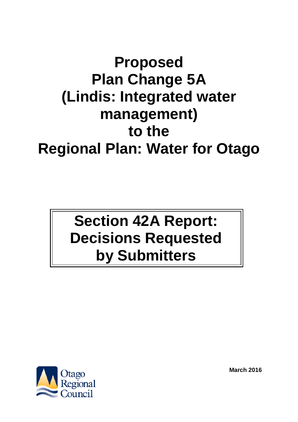# **Proposed Plan Change 5A (Lindis: Integrated water management) to the Regional Plan: Water for Otago**

# **Section 42A Report: Decisions Requested by Submitters**



**March 2016**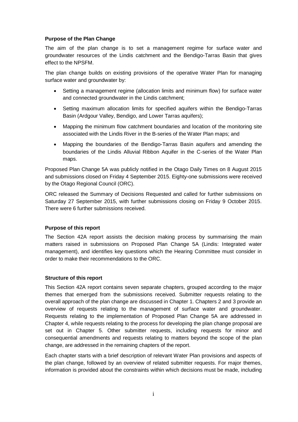### **Purpose of the Plan Change**

The aim of the plan change is to set a management regime for surface water and groundwater resources of the Lindis catchment and the Bendigo-Tarras Basin that gives effect to the NPSFM.

The plan change builds on existing provisions of the operative Water Plan for managing surface water and groundwater by:

- Setting a management regime (allocation limits and minimum flow) for surface water and connected groundwater in the Lindis catchment;
- Setting maximum allocation limits for specified aquifers within the Bendigo-Tarras Basin (Ardgour Valley, Bendigo, and Lower Tarras aquifers);
- Mapping the minimum flow catchment boundaries and location of the monitoring site associated with the Lindis River in the B-series of the Water Plan maps; and
- Mapping the boundaries of the Bendigo-Tarras Basin aquifers and amending the boundaries of the Lindis Alluvial Ribbon Aquifer in the C-series of the Water Plan maps.

Proposed Plan Change 5A was publicly notified in the Otago Daily Times on 8 August 2015 and submissions closed on Friday 4 September 2015. Eighty-one submissions were received by the Otago Regional Council (ORC).

ORC released the Summary of Decisions Requested and called for further submissions on Saturday 27 September 2015, with further submissions closing on Friday 9 October 2015. There were 6 further submissions received.

#### **Purpose of this report**

The Section 42A report assists the decision making process by summarising the main matters raised in submissions on Proposed Plan Change 5A (Lindis: Integrated water management), and identifies key questions which the Hearing Committee must consider in order to make their recommendations to the ORC.

#### **Structure of this report**

This Section 42A report contains seven separate chapters, grouped according to the major themes that emerged from the submissions received. Submitter requests relating to the overall approach of the plan change are discussed in Chapter 1. Chapters 2 and 3 provide an overview of requests relating to the management of surface water and groundwater. Requests relating to the implementation of Proposed Plan Change 5A are addressed in Chapter 4, while requests relating to the process for developing the plan change proposal are set out in Chapter 5. Other submitter requests, including requests for minor and consequential amendments and requests relating to matters beyond the scope of the plan change, are addressed in the remaining chapters of the report.

Each chapter starts with a brief description of relevant Water Plan provisions and aspects of the plan change, followed by an overview of related submitter requests. For major themes, information is provided about the constraints within which decisions must be made, including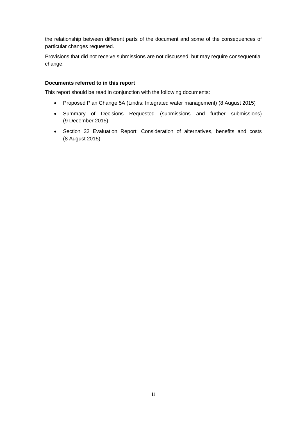the relationship between different parts of the document and some of the consequences of particular changes requested.

Provisions that did not receive submissions are not discussed, but may require consequential change.

#### **Documents referred to in this report**

This report should be read in conjunction with the following documents:

- Proposed Plan Change 5A (Lindis: Integrated water management) (8 August 2015)
- Summary of Decisions Requested (submissions and further submissions) (9 December 2015)
- Section 32 Evaluation Report: Consideration of alternatives, benefits and costs (8 August 2015)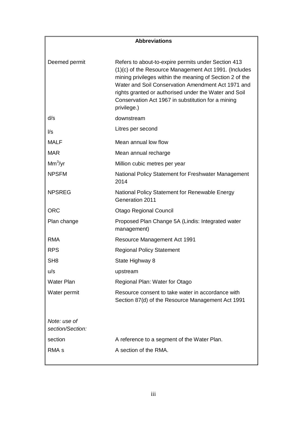# **Abbreviations**

| Refers to about-to-expire permits under Section 413<br>(1)(c) of the Resource Management Act 1991. (Includes<br>mining privileges within the meaning of Section 2 of the<br>Water and Soil Conservation Amendment Act 1971 and<br>rights granted or authorised under the Water and Soil<br>Conservation Act 1967 in substitution for a mining<br>privilege.) |
|--------------------------------------------------------------------------------------------------------------------------------------------------------------------------------------------------------------------------------------------------------------------------------------------------------------------------------------------------------------|
| downstream                                                                                                                                                                                                                                                                                                                                                   |
| Litres per second                                                                                                                                                                                                                                                                                                                                            |
| Mean annual low flow                                                                                                                                                                                                                                                                                                                                         |
| Mean annual recharge                                                                                                                                                                                                                                                                                                                                         |
| Million cubic metres per year                                                                                                                                                                                                                                                                                                                                |
| National Policy Statement for Freshwater Management<br>2014                                                                                                                                                                                                                                                                                                  |
| National Policy Statement for Renewable Energy<br>Generation 2011                                                                                                                                                                                                                                                                                            |
| <b>Otago Regional Council</b>                                                                                                                                                                                                                                                                                                                                |
| Proposed Plan Change 5A (Lindis: Integrated water<br>management)                                                                                                                                                                                                                                                                                             |
| <b>Resource Management Act 1991</b>                                                                                                                                                                                                                                                                                                                          |
| <b>Regional Policy Statement</b>                                                                                                                                                                                                                                                                                                                             |
| State Highway 8                                                                                                                                                                                                                                                                                                                                              |
| upstream                                                                                                                                                                                                                                                                                                                                                     |
| Regional Plan: Water for Otago                                                                                                                                                                                                                                                                                                                               |
| Resource consent to take water in accordance with<br>Section 87(d) of the Resource Management Act 1991                                                                                                                                                                                                                                                       |
|                                                                                                                                                                                                                                                                                                                                                              |
| A reference to a segment of the Water Plan.                                                                                                                                                                                                                                                                                                                  |
| A section of the RMA.                                                                                                                                                                                                                                                                                                                                        |
|                                                                                                                                                                                                                                                                                                                                                              |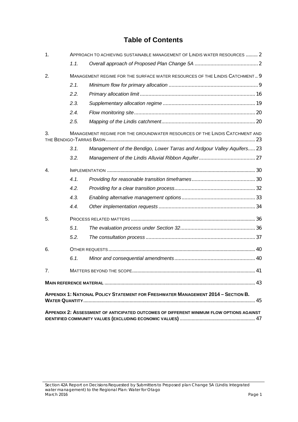# **Table of Contents**

| $\mathbf{1}$ . |      | APPROACH TO ACHIEVING SUSTAINABLE MANAGEMENT OF LINDIS WATER RESOURCES  2                                                                                                            |  |
|----------------|------|--------------------------------------------------------------------------------------------------------------------------------------------------------------------------------------|--|
|                | 1.1. |                                                                                                                                                                                      |  |
| 2.             |      | MANAGEMENT REGIME FOR THE SURFACE WATER RESOURCES OF THE LINDIS CATCHMENT 9                                                                                                          |  |
|                | 2.1. |                                                                                                                                                                                      |  |
|                | 2.2. |                                                                                                                                                                                      |  |
|                | 2.3. |                                                                                                                                                                                      |  |
|                | 2.4. |                                                                                                                                                                                      |  |
|                | 2.5. |                                                                                                                                                                                      |  |
| 3.             |      | MANAGEMENT REGIME FOR THE GROUNDWATER RESOURCES OF THE LINDIS CATCHMENT AND                                                                                                          |  |
|                | 3.1. | Management of the Bendigo, Lower Tarras and Ardgour Valley Aquifers 23                                                                                                               |  |
|                | 3.2. |                                                                                                                                                                                      |  |
| $\mathbf{4}$ . |      |                                                                                                                                                                                      |  |
|                | 4.1. |                                                                                                                                                                                      |  |
|                | 4.2. |                                                                                                                                                                                      |  |
|                | 4.3. |                                                                                                                                                                                      |  |
|                | 4.4. |                                                                                                                                                                                      |  |
| 5.             |      |                                                                                                                                                                                      |  |
|                | 5.1. |                                                                                                                                                                                      |  |
|                | 5.2. |                                                                                                                                                                                      |  |
| 6.             |      |                                                                                                                                                                                      |  |
|                | 6.1. |                                                                                                                                                                                      |  |
| 7.             |      |                                                                                                                                                                                      |  |
|                |      |                                                                                                                                                                                      |  |
|                |      | <b>APPENDIX 1: NATIONAL POLICY STATEMENT FOR FRESHWATER MANAGEMENT 2014 - SECTION B.</b><br>APPENDIX 2: ASSESSMENT OF ANTICIPATED OUTCOMES OF DIFFERENT MINIMUM FLOW OPTIONS AGAINST |  |
|                |      |                                                                                                                                                                                      |  |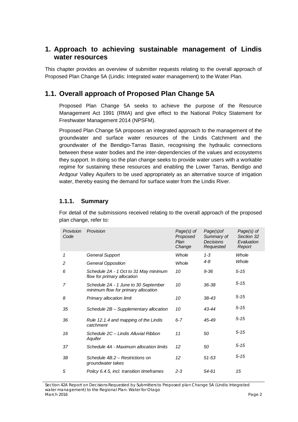# <span id="page-6-0"></span>**1. Approach to achieving sustainable management of Lindis water resources**

This chapter provides an overview of submitter requests relating to the overall approach of Proposed Plan Change 5A (Lindis: Integrated water management) to the Water Plan.

# <span id="page-6-1"></span>**1.1. Overall approach of Proposed Plan Change 5A**

Proposed Plan Change 5A seeks to achieve the purpose of the Resource Management Act 1991 (RMA) and give effect to the National Policy Statement for Freshwater Management 2014 (NPSFM).

Proposed Plan Change 5A proposes an integrated approach to the management of the groundwater and surface water resources of the Lindis Catchment and the groundwater of the Bendigo-Tarras Basin, recognising the hydraulic connections between these water bodies and the inter-dependencies of the values and ecosystems they support. In doing so the plan change seeks to provide water users with a workable regime for sustaining these resources and enabling the Lower Tarras, Bendigo and Ardgour Valley Aquifers to be used appropriately as an alternative source of irrigation water, thereby easing the demand for surface water from the Lindis River.

# **1.1.1. Summary**

For detail of the submissions received relating to the overall approach of the proposed plan change, refer to:

| Provision<br>Code | Provision                                                                   | Page(s) of<br>Proposed<br>Plan<br>Change | Page(s)of<br>Summary of<br><b>Decisions</b><br>Requested | Page(s) of<br>Section 32<br>Evaluation<br>Report |
|-------------------|-----------------------------------------------------------------------------|------------------------------------------|----------------------------------------------------------|--------------------------------------------------|
| 1                 | <b>General Support</b>                                                      | Whole                                    | $1 - 3$                                                  | Whole                                            |
| 2                 | <b>General Opposition</b>                                                   | Whole                                    | $4 - 8$                                                  | Whole                                            |
| 6                 | Schedule 2A - 1 Oct to 31 May minimum<br>flow for primary allocation        | 10                                       | $9 - 36$                                                 | $5 - 15$                                         |
| 7                 | Schedule 2A - 1 June to 30 September<br>minimum flow for primary allocation | 10                                       | $36 - 38$                                                | $5 - 15$                                         |
| 8                 | Primary allocation limit                                                    | 10                                       | 38-43                                                    | $5 - 15$                                         |
| 35                | Schedule 2B – Supplementary allocation                                      | 10                                       | 43-44                                                    | $5 - 15$                                         |
| 36                | Rule 12.1.4 and mapping of the Lindis<br>catchment                          | $6 - 7$                                  | 45-49                                                    | $5 - 15$                                         |
| 16                | Schedule 2C – Lindis Alluvial Ribbon<br>Aquifer                             | 11                                       | 50                                                       | $5 - 15$                                         |
| 37                | Schedule 4A - Maximum allocation limits                                     | 12                                       | 50                                                       | $5 - 15$                                         |
| 38                | Schedule 4B.2 - Restrictions on<br>groundwater takes                        | 12                                       | $51 - 53$                                                | $5 - 15$                                         |
| 5                 | Policy 6.4.5, incl. transition timeframes                                   | $2 - 3$                                  | 54-61                                                    | 15                                               |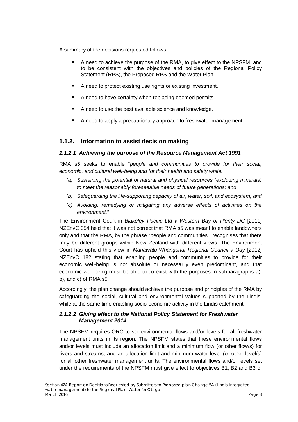A summary of the decisions requested follows:

- A need to achieve the purpose of the RMA, to give effect to the NPSFM, and to be consistent with the objectives and policies of the Regional Policy Statement (RPS), the Proposed RPS and the Water Plan.
- A need to protect existing use rights or existing investment.
- A need to have certainty when replacing deemed permits.
- A need to use the best available science and knowledge.
- A need to apply a precautionary approach to freshwater management.

# **1.1.2. Information to assist decision making**

### *1.1.2.1 Achieving the purpose of the Resource Management Act 1991*

RMA s5 seeks to enable "*people and communities to provide for their social, economic, and cultural well-being and for their health and safety while:*

- *(a) Sustaining the potential of natural and physical resources (excluding minerals) to meet the reasonably foreseeable needs of future generations; and*
- *(b) Safeguarding the life-supporting capacity of air, water, soil, and [ecosystem;](https://en.wikipedia.org/wiki/Ecosystem) and*
- *(c) Avoiding, remedying or mitigating any adverse effects of activities on the [environment.](https://en.wikipedia.org/wiki/Natural_environment)*"

The Environment Court in *[Blakeley Pacific Ltd v Western Bay of Plenty DC](http://www.westlaw.co.nz/maf/wlnz/app/document?docguid=I466c31b111a411e18eefa443f89988a0&&src=doc&hitguid=I518fb2c1118511e18eefa443f89988a0&snippets=true&startChunk=1&endChunk=1&isTocNav=true&tocDs=AUNZ_NZ_LEGCOMM_TOC%23anchor_I518fb2c1118511e18eefa443f89988a0)* [2011] NZEnvC 354 held that it was not correct that RMA [s5](http://www.westlaw.co.nz/maf/wlnz/app/document?docguid=I663ce681e12d11e08eefa443f89988a0&&src=rl&hitguid=I669e49b8e00611e08eefa443f89988a0&snippets=true&startChunk=1&endChunk=1&isTocNav=true&tocDs=AUNZ_NZ_LEGCOMM_TOC%23anchor_I669e49b8e00611e08eefa443f89988a0) was meant to enable landowners only and that the RMA, by the phrase "people and communities", recognises that there may be different groups within New Zealand with different views. The Environment Court has upheld this view in *Manawatu-Whanganui Regional Council v Day* [2012] NZEnvC 182 stating that enabling people and communities to provide for their economic well-being is not absolute or necessarily even predominant, and that economic well-being must be able to co-exist with the purposes in subparagraphs a), b), and c) of RMA s5.

Accordingly, the plan change should achieve the purpose and principles of the RMA by safeguarding the social, cultural and environmental values supported by the Lindis, while at the same time enabling socio-economic activity in the Lindis catchment.

### *1.1.2.2 Giving effect to the National Policy Statement for Freshwater Management 2014*

The NPSFM requires ORC to set environmental flows and/or levels for all freshwater management units in its region. The NPSFM states that these environmental flows and/or levels must include an allocation limit and a minimum flow (or other flow/s) for rivers and streams, and an allocation limit and minimum water level (or other level/s) for all other freshwater management units. The environmental flows and/or levels set under the requirements of the NPSFM must give effect to objectives B1, B2 and B3 of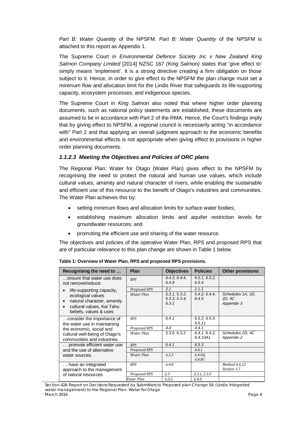*Part B: Water Quantity* of the NPSFM. *Part B: Water Quantity* of the NPSFM is attached to this report as Appendix 1.

The Supreme Court in *Environmental Defence Society Inc v New Zealand King Salmon Company Limited* [2014] NZSC 167 *(King Salmon)* states that 'give effect to' simply means 'implement'. It is a strong directive creating a firm obligation on those subject to it. Hence, in order to give effect to the NPSFM the plan change must set a minimum flow and allocation limit for the Lindis River that safeguards its life-supporting capacity, ecosystem processes, and indigenous species.

The Supreme Court in *King Salmon* also noted that where higher order planning documents, such as national policy statements are established, these documents are assumed to be in accordance with Part 2 of the RMA. Hence, the Court's findings imply that by giving effect to NPSFM, a regional council is necessarily acting "in accordance with" Part 2 and that applying an overall judgment approach to the economic benefits and environmental effects is not appropriate when giving effect to provisions in higher order planning documents.

### *1.1.2.3 Meeting the Objectives and Policies of ORC plans*

The Regional Plan: Water for Otago (Water Plan) gives effect to the NPSFM by recognising the need to protect the natural and human use values, which include cultural values, amenity and natural character of rivers, while enabling the sustainable and efficient use of this resource to the benefit of Otago's industries and communities. The Water Plan achieves this by:

- setting minimum flows and allocation limits for surface water bodies:
- establishing maximum allocation limits and aquifer restriction levels for groundwater resources; and
- promoting the efficient use and sharing of the water resource.

The objectives and policies of the operative Water Plan, RPS and proposed RPS that are of particular relevance to this plan change are shown in Table 1 below.

| Recognising the need to                                                                                | Plan         | <b>Objectives</b>                       | <b>Policies</b>           | <b>Other provisions</b>                   |
|--------------------------------------------------------------------------------------------------------|--------------|-----------------------------------------|---------------------------|-------------------------------------------|
| ensure that water use does<br>not remove/reduce:                                                       | <b>RPS</b>   | 6.4.3, 6.4.4,<br>6.4.8                  | 6.5.1, 6.5.2,<br>6.5.4    |                                           |
| life-supporting capacity,                                                                              | Proposed RPS | 2.1                                     | 2.1.1                     |                                           |
| ecological values<br>natural character, amenity<br>cultural values, Kai Tahu<br>beliefs, values & uses | Water Plan   | 5.3.1, 5.3.2.<br>5.3.3, 5.3.4,<br>6.3.1 | 5.4.2, 6.4.4<br>6.4.9     | Schedules 1A, 1D,<br>2D, 4C<br>Appendix 3 |
| consider the importance of<br>the water use in maintaining                                             | <b>RPS</b>   | 6.4.1                                   | 6.5.2, 6.5.4<br>6.5.11    |                                           |
| the economic, social and                                                                               | Proposed RPS | 4.4                                     | 4.4.1                     |                                           |
| cultural well-being of Otago's<br>communities and industries.                                          | Water Plan   | 5.3.6, 6.3.2                            | 6.4.1, 6.4.2,<br>6.4.10A1 | Schedules 2D, 4C<br>Appendix 2            |
| promote efficient water use                                                                            | <b>RPS</b>   | 6.4.1                                   | 6.5.3                     |                                           |
| and the use of alternative                                                                             | Proposed RPS |                                         | 4.4.1                     |                                           |
| water sources.                                                                                         | Water Plan   | 6.3.3                                   | 6.4.0A,<br>6.4.0C         |                                           |
| have an integrated<br>approach to the management                                                       | <b>RPS</b>   | 6.4.8                                   |                           | Method 6.6.21<br>Section 1.7              |
| of natural resources                                                                                   | Proposed RPS | 2.3                                     | 2.3.1, 2.3.3              |                                           |
|                                                                                                        | Vater Plan   | 6.3.2                                   | 6.4.0                     |                                           |

**Table 1: Overview of Water Plan, RPS and proposed RPS provisions.**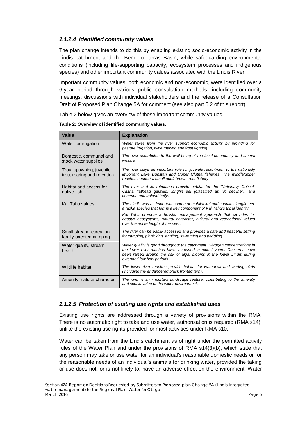# *1.1.2.4 Identified community values*

The plan change intends to do this by enabling existing socio-economic activity in the Lindis catchment and the Bendigo-Tarras Basin, while safeguarding environmental conditions (including life-supporting capacity, ecosystem processes and indigenous species) and other important community values associated with the Lindis River.

Important community values, both economic and non-economic, were identified over a 6-year period through various public consultation methods, including community meetings, discussions with individual stakeholders and the release of a Consultation Draft of Proposed Plan Change 5A for comment (see also part 5.2 of this report).

Table 2 below gives an overview of these important community values.

| Value                                                   | <b>Explanation</b>                                                                                                                                                                                                                                                                                                                              |
|---------------------------------------------------------|-------------------------------------------------------------------------------------------------------------------------------------------------------------------------------------------------------------------------------------------------------------------------------------------------------------------------------------------------|
| Water for irrigation                                    | Water takes from the river support economic activity by providing for<br>pasture irrigation, wine making and frost fighting.                                                                                                                                                                                                                    |
| Domestic, communal and<br>stock water supplies          | The river contributes to the well-being of the local community and animal<br>welfare                                                                                                                                                                                                                                                            |
| Trout spawning, juvenile<br>trout rearing and retention | The river plays an important role for juvenile recruitment to the nationally<br>important Lake Dunstan and Upper Clutha fisheries. The middle/upper<br>reaches support a small adult brown trout fishery.                                                                                                                                       |
| Habitat and access for<br>native fish                   | The river and its tributaries provide habitat for the "Nationally Critical"<br>Clutha flathead galaxiid, longfin eel (classified as "in decline"), and<br>common and upland bully.                                                                                                                                                              |
| Kai Tahu values                                         | The Lindis was an important source of mahika kai and contains longfin eel.<br>a taoka species that forms a key component of Kai Tahu's tribal identity.<br>Kai Tahu promote a holistic management approach that provides for<br>aquatic ecosystems, natural character, cultural and recreational values<br>over the entire length of the river. |
| Small stream recreation.<br>family-oriented camping     | The river can be easily accessed and provides a safe and peaceful setting<br>for camping, picnicking, angling, swimming and paddling.                                                                                                                                                                                                           |
| Water quality, stream<br>health                         | Water quality is good throughout the catchment. Nitrogen concentrations in<br>the lower river reaches have increased in recent years. Concerns have<br>been raised around the risk of algal blooms in the lower Lindis during<br>extended low flow periods.                                                                                     |
| Wildlife habitat                                        | The lower river reaches provide habitat for waterfowl and wading birds<br>(including the endangered black fronted tern).                                                                                                                                                                                                                        |
| Amenity, natural character                              | The river is an important landscape feature, contributing to the amenity<br>and scenic value of the wider environment.                                                                                                                                                                                                                          |

| Table 2: Overview of identified community values. |  |
|---------------------------------------------------|--|
|---------------------------------------------------|--|

# *1.1.2.5 Protection of existing use rights and established uses*

Existing use rights are addressed through a variety of provisions within the RMA. There is no automatic right to take and use water, authorisation is required (RMA s14), unlike the existing use rights provided for most activities under RMA s10.

Water can be taken from the Lindis catchment as of right under the permitted activity rules of the Water Plan and under the provisions of RMA s14(3)(b), which state that any person may take or use water for an individual's reasonable domestic needs or for the reasonable needs of an individual's animals for drinking water, provided the taking or use does not, or is not likely to, have an adverse effect on the environment. Water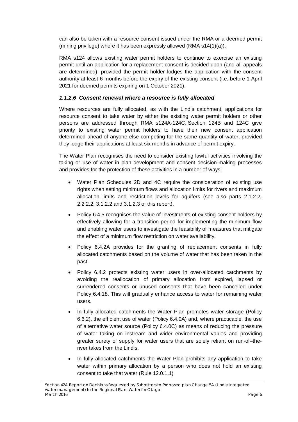can also be taken with a resource consent issued under the RMA or a deemed permit (mining privilege) where it has been expressly allowed (RMA s14(1)(a)).

RMA s124 allows existing water permit holders to continue to exercise an existing permit until an application for a replacement consent is decided upon (and all appeals are determined), provided the permit holder lodges the application with the consent authority at least 6 months before the expiry of the existing consent (i.e. before 1 April 2021 for deemed permits expiring on 1 October 2021).

# *1.1.2.6 Consent renewal where a resource is fully allocated*

Where resources are fully allocated, as with the Lindis catchment, applications for resource consent to take water by either the existing water permit holders or other persons are addressed through RMA s124A-124C. Section 124B and 124C give priority to existing water permit holders to have their new consent application determined ahead of anyone else competing for the same quantity of water, provided they lodge their applications at least six months in advance of permit expiry.

The Water Plan recognises the need to consider existing lawful activities involving the taking or use of water in plan development and consent decision-making processes and provides for the protection of these activities in a number of ways:

- Water Plan Schedules 2D and 4C require the consideration of existing use rights when setting minimum flows and allocation limits for rivers and maximum allocation limits and restriction levels for aquifers (see also parts 2.1.2.2, 2.2.2.2, 3.1.2.2 and 3.1.2.3 of this report).
- Policy 6.4.5 recognises the value of investments of existing consent holders by effectively allowing for a transition period for implementing the minimum flow and enabling water users to investigate the feasibility of measures that mitigate the effect of a minimum flow restriction on water availability.
- Policy 6.4.2A provides for the granting of replacement consents in fully allocated catchments based on the volume of water that has been taken in the past.
- Policy 6.4.2 protects existing water users in over-allocated catchments by avoiding the reallocation of primary allocation from expired, lapsed or surrendered consents or unused consents that have been cancelled under Policy 6.4.18. This will gradually enhance access to water for remaining water users.
- In fully allocated catchments the Water Plan promotes water storage (Policy 6.6.2), the efficient use of water (Policy 6.4.0A) and, where practicable, the use of alternative water source (Policy 6.4.0C) as means of reducing the pressure of water taking on instream and wider environmental values and providing greater surety of supply for water users that are solely reliant on run-of–theriver takes from the Lindis.
- In fully allocated catchments the Water Plan prohibits any application to take water within primary allocation by a person who does not hold an existing consent to take that water (Rule 12.0.1.1)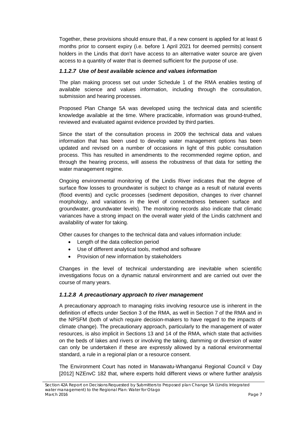Together, these provisions should ensure that, if a new consent is applied for at least 6 months prior to consent expiry (i.e. before 1 April 2021 for deemed permits) consent holders in the Lindis that don't have access to an alternative water source are given access to a quantity of water that is deemed sufficient for the purpose of use.

### *1.1.2.7 Use of best available science and values information*

The plan making process set out under Schedule 1 of the RMA enables testing of available science and values information, including through the consultation, submission and hearing processes.

Proposed Plan Change 5A was developed using the technical data and scientific knowledge available at the time. Where practicable, information was ground-truthed, reviewed and evaluated against evidence provided by third parties.

Since the start of the consultation process in 2009 the technical data and values information that has been used to develop water management options has been updated and revised on a number of occasions in light of this public consultation process. This has resulted in amendments to the recommended regime option, and through the hearing process, will assess the robustness of that data for setting the water management regime.

Ongoing environmental monitoring of the Lindis River indicates that the degree of surface flow losses to groundwater is subject to change as a result of natural events (flood events) and cyclic processes (sediment deposition, changes to river channel morphology, and variations in the level of connectedness between surface and groundwater, groundwater levels). The monitoring records also indicate that climatic variances have a strong impact on the overall water yield of the Lindis catchment and availability of water for taking.

Other causes for changes to the technical data and values information include:

- Length of the data collection period
- Use of different analytical tools, method and software
- Provision of new information by stakeholders

Changes in the level of technical understanding are inevitable when scientific investigations focus on a dynamic natural environment and are carried out over the course of many years.

### *1.1.2.8 A precautionary approach to river management*

A precautionary approach to managing risks involving resource use is inherent in the definition of effects under Section 3 of the RMA, as well in Section 7 of the RMA and in the NPSFM (both of which require decision-makers to have regard to the impacts of climate change). The precautionary approach, particularly to the management of water resources, is also implicit in Sections 13 and 14 of the RMA, which state that activities on the beds of lakes and rivers or involving the taking, damming or diversion of water can only be undertaken if these are expressly allowed by a national environmental standard, a rule in a regional plan or a resource consent.

The Environment Court has noted in Manawatu-Whanganui Regional Council v Day [2012] NZEnvC 182 that, where experts hold different views or where further analysis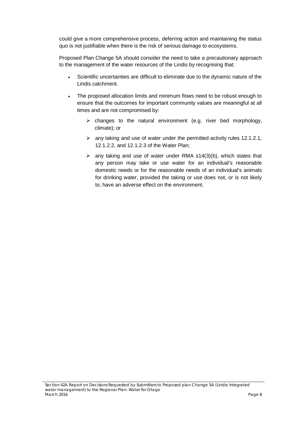could give a more comprehensive process, deferring action and maintaining the status quo is not justifiable when there is the risk of serious damage to ecosystems.

Proposed Plan Change 5A should consider the need to take a precautionary approach to the management of the water resources of the Lindis by recognising that:

- Scientific uncertainties are difficult to eliminate due to the dynamic nature of the Lindis catchment.
- The proposed allocation limits and minimum flows need to be robust enough to ensure that the outcomes for important community values are meaningful at all times and are not compromised by:
	- $\triangleright$  changes to the natural environment (e.g. river bed morphology, climate); or
	- $\geq$  any taking and use of water under the permitted activity rules 12.1.2.1, 12.1.2.2, and 12.1.2.3 of the Water Plan;
	- $\triangleright$  any taking and use of water under RMA s14(3)(b), which states that any person may take or use water for an individual's reasonable domestic needs or for the reasonable needs of an individual's animals for drinking water, provided the taking or use does not, or is not likely to, have an adverse effect on the environment.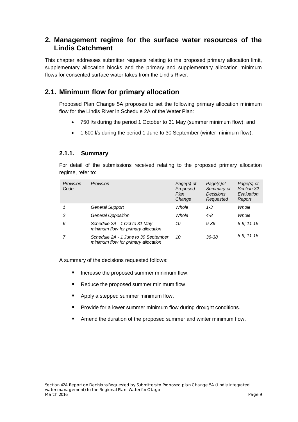# <span id="page-13-0"></span>**2. Management regime for the surface water resources of the Lindis Catchment**

This chapter addresses submitter requests relating to the proposed primary allocation limit, supplementary allocation blocks and the primary and supplementary allocation minimum flows for consented surface water takes from the Lindis River.

# <span id="page-13-1"></span>**2.1. Minimum flow for primary allocation**

Proposed Plan Change 5A proposes to set the following primary allocation minimum flow for the Lindis River in Schedule 2A of the Water Plan:

- 750 l/s during the period 1 October to 31 May (summer minimum flow); and
- 1,600 l/s during the period 1 June to 30 September (winter minimum flow).

# **2.1.1. Summary**

For detail of the submissions received relating to the proposed primary allocation regime, refer to:

| Provision<br>Code | Provision                                                                   | Page(s) of<br>Proposed<br>Plan<br>Change | Page(s) of<br>Summary of<br><b>Decisions</b><br>Requested | Page(s) of<br>Section 32<br>Evaluation<br>Report |
|-------------------|-----------------------------------------------------------------------------|------------------------------------------|-----------------------------------------------------------|--------------------------------------------------|
|                   | General Support                                                             | Whole                                    | $1 - 3$                                                   | Whole                                            |
| 2                 | General Opposition                                                          | Whole                                    | 4-8                                                       | Whole                                            |
| 6                 | Schedule 2A - 1 Oct to 31 May<br>minimum flow for primary allocation        | 10                                       | $9 - 36$                                                  | $5-9:11-15$                                      |
|                   | Schedule 2A - 1 June to 30 September<br>minimum flow for primary allocation | 10                                       | 36-38                                                     | $5-9:11-15$                                      |

A summary of the decisions requested follows:

- **If** Increase the proposed summer minimum flow.
- Reduce the proposed summer minimum flow.
- Apply a stepped summer minimum flow.
- **Provide for a lower summer minimum flow during drought conditions.**
- **Amend the duration of the proposed summer and winter minimum flow.**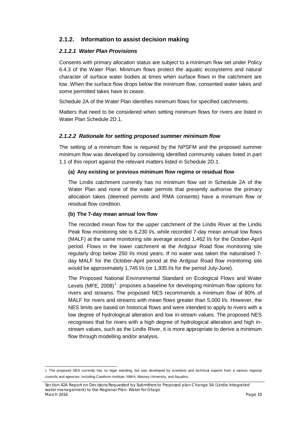# **2.1.2. Information to assist decision making**

### *2.1.2.1 Water Plan Provisions*

Consents with primary allocation status are subject to a minimum flow set under Policy 6.4.3 of the Water Plan. Minimum flows protect the aquatic ecosystems and natural character of surface water bodies at times when surface flows in the catchment are low. When the surface flow drops below the minimum flow, consented water takes and some permitted takes have to cease.

Schedule 2A of the Water Plan identifies minimum flows for specified catchments.

Matters that need to be considered when setting minimum flows for rivers are listed in Water Plan Schedule 2D.1.

### *2.1.2.2 Rationale for setting proposed summer minimum flow*

The setting of a minimum flow is required by the NPSFM and the proposed summer minimum flow was developed by considering identified community values listed in part 1.1 of this report against the relevant matters listed in Schedule 2D.1.

#### **(a) Any existing or previous minimum flow regime or residual flow**

The Lindis catchment currently has no minimum flow set in Schedule 2A of the Water Plan and none of the water permits that presently authorise the primary allocation takes (deemed permits and RMA consents) have a minimum flow or residual flow condition.

#### **(b) The 7-day mean annual low flow**

The recorded mean flow for the upper catchment of the Lindis River at the Lindis Peak flow monitoring site is 6,230 l/s, while recorded 7-day mean annual low flows (MALF) at the same monitoring site average around 1,462 l/s for the October-April period. Flows in the lower catchment at the Ardgour Road flow monitoring site regularly drop below 250 l/s most years. If no water was taken the naturalised 7 day MALF for the October-April period at the Ardgour Road flow monitoring site would be approximately 1,745 l/s (or 1,935 l/s for the period July-June).

The Proposed National Environmental Standard on Ecological Flows and Water Levels (MFE, 2008)<sup>[1](#page-14-0)</sup> proposes a baseline for developing minimum flow options for rivers and streams. The proposed NES recommends a minimum flow of 80% of MALF for rivers and streams with mean flows greater than 5,000 l/s. However, the NES limits are based on historical flows and were intended to apply to rivers with a low degree of hydrological alteration and low in-stream values. The proposed NES recognises that for rivers with a high degree of hydrological alteration and high instream values, such as the Lindis River, it is more appropriate to derive a minimum flow through modelling and/or analysis.

<span id="page-14-0"></span><sup>1</sup> The proposed NES currently has no legal standing, but was developed by scientists and technical experts from a various regional councils and agencies, including Cawthron Institute, NIWA, Massey University, and Aqualinc.

*Section 42A Report on Decisions Requested by Submitters to Proposed plan Change 5A (Lindis: Integrated water management) to the Regional Plan: Water for Otago March 2016 Page 10*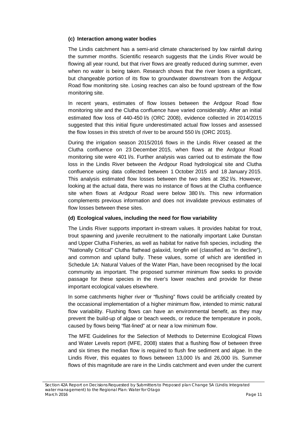### **(c) Interaction among water bodies**

The Lindis catchment has a semi-arid climate characterised by low rainfall during the summer months. Scientific research suggests that the Lindis River would be flowing all year round, but that river flows are greatly reduced during summer, even when no water is being taken. Research shows that the river loses a significant, but changeable portion of its flow to groundwater downstream from the Ardgour Road flow monitoring site. Losing reaches can also be found upstream of the flow monitoring site.

In recent years, estimates of flow losses between the Ardgour Road flow monitoring site and the Clutha confluence have varied considerably. After an initial estimated flow loss of 440-450 l/s (ORC 2008), evidence collected in 2014/2015 suggested that this initial figure underestimated actual flow losses and assessed the flow losses in this stretch of river to be around 550 l/s (ORC 2015).

During the irrigation season 2015/2016 flows in the Lindis River ceased at the Clutha confluence on 23 December 2015, when flows at the Ardgour Road monitoring site were 401 l/s. Further analysis was carried out to estimate the flow loss in the Lindis River between the Ardgour Road hydrological site and Clutha confluence using data collected between 1 October 2015 and 18 January 2015. This analysis estimated flow losses between the two sites at 352 l/s. However, looking at the actual data, there was no instance of flows at the Clutha confluence site when flows at Ardgour Road were below 380 l/s. This new information complements previous information and does not invalidate previous estimates of flow losses between these sites.

### **(d) Ecological values, including the need for flow variability**

The Lindis River supports important in-stream values. It provides habitat for trout, trout spawning and juvenile recruitment to the nationally important Lake Dunstan and Upper Clutha Fisheries, as well as habitat for native fish species, including the "Nationally Critical" Clutha flathead galaxiid, longfin eel (classified as "in decline"), and common and upland bully. These values, some of which are identified in Schedule 1A: Natural Values of the Water Plan, have been recognised by the local community as important. The proposed summer minimum flow seeks to provide passage for these species in the river's lower reaches and provide for these important ecological values elsewhere.

In some catchments higher river or "flushing" flows could be artificially created by the occasional implementation of a higher minimum flow, intended to mimic natural flow variability. Flushing flows can have an environmental benefit, as they may prevent the build-up of algae or beach weeds, or reduce the temperature in pools, caused by flows being "flat-lined" at or near a low minimum flow.

The MFE Guidelines for the Selection of Methods to Determine Ecological Flows and Water Levels report (MFE, 2008) states that a flushing flow of between three and six times the median flow is required to flush fine sediment and algae. In the Lindis River, this equates to flows between 13,000 l/s and 26,000 l/s. Summer flows of this magnitude are rare in the Lindis catchment and even under the current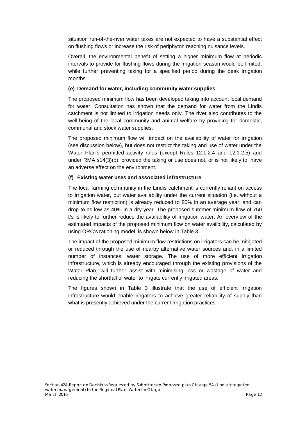situation run-of-the-river water takes are not expected to have a substantial effect on flushing flows or increase the risk of periphyton reaching nuisance levels.

Overall, the environmental benefit of setting a higher minimum flow at periodic intervals to provide for flushing flows during the irrigation season would be limited, while further preventing taking for a specified period during the peak irrigation months.

### **(e) Demand for water, including community water supplies**

The proposed minimum flow has been developed taking into account local demand for water. Consultation has shown that the demand for water from the Lindis catchment is not limited to irrigation needs only. The river also contributes to the well-being of the local community and animal welfare by providing for domestic, communal and stock water supplies.

The proposed minimum flow will impact on the availability of water for irrigation (see discussion below), but does not restrict the taking and use of water under the Water Plan's permitted activity rules (except Rules 12.1.2.4 and 12.1.2.5) and under RMA s14(3)(b), provided the taking or use does not, or is not likely to, have an adverse effect on the environment.

### **(f) Existing water uses and associated infrastructure**

The local farming community in the Lindis catchment is currently reliant on access to irrigation water, but water availability under the current situation (i.e. without a minimum flow restriction) is already reduced to 80% in an average year, and can drop to as low as 40% in a dry year. The proposed summer minimum flow of 750 l/s is likely to further reduce the availability of irrigation water. An overview of the estimated impacts of the proposed minimum flow on water availbility, calculated by using ORC's rationing model, is shown below in Table 3.

The impact of the proposed minimum flow restrictions on irrigators can be mitigated or reduced through the use of nearby alternative water sources and, in a limited number of instances, water storage. The use of more efficient irrigation infrastructure, which is already encouraged through the existing provisions of the Water Plan, will further assist with minimising loss or wastage of water and reducing the shortfall of water to irrigate currently irrigated areas.

The figures shown in Table 3 illustrate that the use of efficient irrigation infrastructure would enable irrigators to achieve greater reliability of supply than what is presently achieved under the current irrigation practices.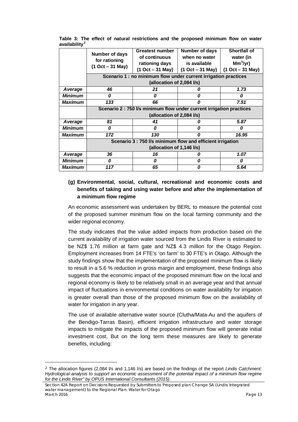|                | Number of days                                                       | <b>Greatest number</b>                                          | Number of days     | <b>Shortfall of</b> |
|----------------|----------------------------------------------------------------------|-----------------------------------------------------------------|--------------------|---------------------|
|                | for rationing                                                        | of continuous                                                   | when no water      | water (in           |
|                |                                                                      | rationing days                                                  | is available       | $Mm3/yr$ )          |
|                | $(1 Oct - 31 May)$                                                   | $(1 Oct - 31 May)$                                              | $(1 Oct - 31 May)$ | $(1 Oct - 31 May)$  |
|                |                                                                      | Scenario 1 : no minimum flow under current irrigation practices |                    |                     |
|                |                                                                      | (allocation of 2,084 I/s)                                       |                    |                     |
| Average        | 46                                                                   | 21                                                              |                    | 1.73                |
| <b>Minimum</b> | 0                                                                    | 0                                                               | 0                  | 0                   |
| <b>Maximum</b> | 133                                                                  | 66                                                              | Ω                  | 7.51                |
|                | Scenario 2 : 750 l/s minimum flow under current irrigation practices |                                                                 |                    |                     |
|                |                                                                      | (allocation of 2,084 l/s)                                       |                    |                     |
| Average        | 81                                                                   | 41                                                              | Ω                  | 5.87                |
| <b>Minimum</b> | 0                                                                    | 0                                                               | Ω                  | 0                   |
| <b>Maximum</b> | 172                                                                  | 130                                                             | Ω                  | 16.95               |
|                |                                                                      | Scenario 3 : 750 I/s minimum flow and efficient irrigation      |                    |                     |
|                |                                                                      | (allocation of 1,146 I/s)                                       |                    |                     |
| Average        | 36                                                                   | 16                                                              | Ω                  | 1.07                |
| <b>Minimum</b> | 0                                                                    | 0                                                               | 0                  | 0                   |
| <b>Maximum</b> | 117                                                                  | 65                                                              | Ω                  | 5.64                |

**Table 3: The effect of natural restrictions and the proposed minimum flow on water availability[2](#page-17-0)**

# **(g) Environmental, social, cultural, recreational and economic costs and benefits of taking and using water before and after the implementation of a minimum flow regime**

An economic assessment was undertaken by BERL to measure the potential cost of the proposed summer minimum flow on the local farming community and the wider regional economy.

The study indicates that the value added impacts from production based on the current availability of irrigation water sourced from the Lindis River is estimated to be NZ\$ 1.76 million at farm gate and NZ\$ 4.3 million for the Otago Region. Employment increases from 14 FTE's 'on farm' to 30 FTE's in Otago. Although the study findings show that the implementation of the proposed minimum flow is likely to result in a 5.6 % reduction in gross margin and employment, these findings also suggests that the economic impact of the proposed minimum flow on the local and regional economy is likely to be relatively small in an average year and that annual impact of fluctuations in environmental conditions on water availability for irrigation is greater overall than those of the proposed minimum flow on the availability of water for irrigation in any year.

The use of available alternative water source (Clutha/Mata-Au and the aquifers of the Bendigo-Tarras Basin), efficient irrigation infrastructure and water storage impacts to mitigate the impacts of the proposed minimum flow will generate initial investment cost. But on the long term these measures are likely to generate benefits, including:

**.** 

<span id="page-17-0"></span><sup>2</sup> The allocation figures (2,084 l/s and 1,146 l/s) are based on the findings of the report *Lindis Catchment: Hydrological analysis to support an economic assessment of the potential impact of a minimum flow regime for the Lindis River" by OPUS International Consultants (2015).* 

*Section 42A Report on Decisions Requested by Submitters to Proposed plan Change 5A (Lindis: Integrated water management) to the Regional Plan: Water for Otago March 2016 Page 13*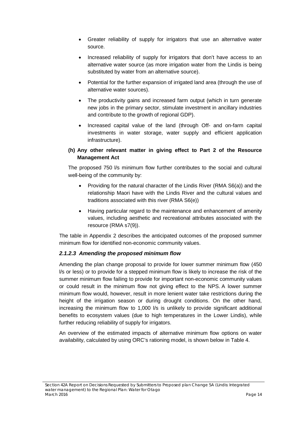- Greater reliability of supply for irrigators that use an alternative water source.
- Increased reliability of supply for irrigators that don't have access to an alternative water source (as more irrigation water from the Lindis is being substituted by water from an alternative source).
- Potential for the further expansion of irrigated land area (through the use of alternative water sources).
- The productivity gains and increased farm output (which in turn generate new jobs in the primary sector, stimulate investment in ancillary industries and contribute to the growth of regional GDP).
- Increased capital value of the land (through Off- and on-farm capital investments in water storage, water supply and efficient application infrastructure).

### **(h) Any other relevant matter in giving effect to Part 2 of the Resource Management Act**

The proposed 750 l/s minimum flow further contributes to the social and cultural well-being of the community by:

- Providing for the natural character of the Lindis River (RMA S6(a)) and the relationship Maori have with the Lindis River and the cultural values and traditions associated with this river (RMA S6(e))
- Having particular regard to the maintenance and enhancement of amenity values, including aesthetic and recreational attributes associated with the resource (RMA s7(9)).

The table in Appendix 2 describes the anticipated outcomes of the proposed summer minimum flow for identified non-economic community values.

# *2.1.2.3 Amending the proposed minimum flow*

Amending the plan change proposal to provide for lower summer minimum flow (450 l/s or less) or to provide for a stepped minimum flow is likely to increase the risk of the summer minimum flow failing to provide for important non-economic community values or could result in the minimum flow not giving effect to the NPS. A lower summer minimum flow would, however, result in more lenient water take restrictions during the height of the irrigation season or during drought conditions. On the other hand, increasing the minimum flow to 1,000 l/s is unlikely to provide significant additional benefits to ecosystem values (due to high temperatures in the Lower Lindis), while further reducing reliability of supply for irrigators.

An overview of the estimated impacts of alternative minimum flow options on water availability, calculated by using ORC's rationing model, is shown below in Table 4.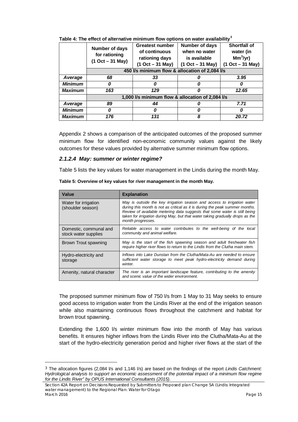|                | Number of days<br>for rationing<br>$(1 Oct - 31 May)$ | <b>Greatest number</b><br>of continuous<br>rationing days<br>$(1 Oct - 31 May)$ | Number of days<br>when no water<br>is available<br>$(1 Oct - 31 May)$ | <b>Shortfall of</b><br>water (in<br>$Mm3/yr$ )<br>$(1 Oct - 31 May)$ |  |
|----------------|-------------------------------------------------------|---------------------------------------------------------------------------------|-----------------------------------------------------------------------|----------------------------------------------------------------------|--|
|                | 450 I/s minimum flow & allocation of 2,084 I/s        |                                                                                 |                                                                       |                                                                      |  |
| Average        | 68                                                    | 33                                                                              |                                                                       | 3.95                                                                 |  |
| <b>Minimum</b> | 0                                                     |                                                                                 |                                                                       |                                                                      |  |
| <b>Maximum</b> | 163                                                   | 129                                                                             |                                                                       | 12.65                                                                |  |
|                |                                                       | 1,000 I/s minimum flow & allocation of 2,084 I/s                                |                                                                       |                                                                      |  |
| Average        | 89                                                    | 44                                                                              |                                                                       | 7.71                                                                 |  |
| <b>Minimum</b> | 0                                                     | 0                                                                               |                                                                       |                                                                      |  |
| Maximum        | 176                                                   | 131                                                                             | 8                                                                     | 20.72                                                                |  |

**Table 4: The effect of alternative minimum flow options on water availability[3](#page-19-0)**

Appendix 2 shows a comparison of the anticipated outcomes of the proposed summer minimum flow for identified non-economic community values against the likely outcomes for these values provided by alternative summer minimum flow options.

#### *2.1.2.4 May: summer or winter regime?*

**.** 

Table 5 lists the key values for water management in the Lindis during the month May.

| Value                                          | <b>Explanation</b>                                                                                                                                                                                                                                                                                                                         |
|------------------------------------------------|--------------------------------------------------------------------------------------------------------------------------------------------------------------------------------------------------------------------------------------------------------------------------------------------------------------------------------------------|
| Water for irrigation<br>(shoulder season)      | May is outside the key irrigation season and access to irrigation water<br>during this month is not as critical as it is during the peak summer months.<br>Review of available metering data suggests that some water is still being<br>taken for irrigation during May, but that water taking gradually drops as the<br>month progresses. |
| Domestic, communal and<br>stock water supplies | Reliable access to water contributes to the well-being of the local<br>community and animal welfare.                                                                                                                                                                                                                                       |
| Brown Trout spawning                           | May is the start of the fish spawning season and adult freshwater fish<br>require higher river flows to return to the Lindis from the Clutha main stem.                                                                                                                                                                                    |
| Hydro-electricity and<br>storage               | Inflows into Lake Dunstan from the Clutha/Mata-Au are needed to ensure<br>sufficient water storage to meet peak hydro-electricity demand during<br>winter.                                                                                                                                                                                 |
| Amenity, natural character                     | The river is an important landscape feature, contributing to the amenity<br>and scenic value of the wider environment.                                                                                                                                                                                                                     |

**Table 5: Overview of key values for river management in the month May.**

The proposed summer minimum flow of 750 l/s from 1 May to 31 May seeks to ensure good access to irrigation water from the Lindis River at the end of the irrigation season while also maintaining continuous flows throughout the catchment and habitat for brown trout spawning.

Extending the 1,600 l/s winter minimum flow into the month of May has various benefits. It ensures higher inflows from the Lindis River into the Clutha/Mata-Au at the start of the hydro-electricity generation period and higher river flows at the start of the

<span id="page-19-0"></span><sup>3</sup> The allocation figures (2,084 l/s and 1,146 l/s) are based on the findings of the report *Lindis Catchment: Hydrological analysis to support an economic assessment of the potential impact of a minimum flow regime for the Lindis River" by OPUS International Consultants (2015).* 

*Section 42A Report on Decisions Requested by Submitters to Proposed plan Change 5A (Lindis: Integrated water management) to the Regional Plan: Water for Otago March 2016 Page 15*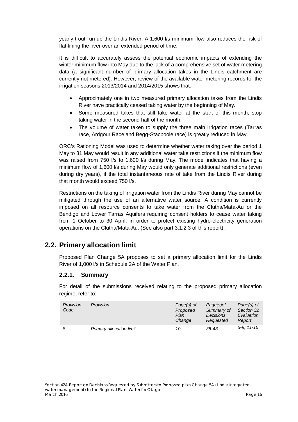yearly trout run up the Lindis River. A 1,600 l/s minimum flow also reduces the risk of flat-lining the river over an extended period of time.

It is difficult to accurately assess the potential economic impacts of extending the winter minimum flow into May due to the lack of a comprehensive set of water metering data (a significant number of primary allocation takes in the Lindis catchment are currently not metered). However, review of the available water metering records for the irrigation seasons 2013/2014 and 2014/2015 shows that:

- Approximately one in two measured primary allocation takes from the Lindis River have practically ceased taking water by the beginning of May.
- Some measured takes that still take water at the start of this month, stop taking water in the second half of the month.
- The volume of water taken to supply the three main irrigation races (Tarras race, Ardgour Race and Begg-Stacpoole race) is greatly reduced in May.

ORC's Rationing Model was used to determine whether water taking over the period 1 May to 31 May would result in any additional water take restrictions if the minimum flow was raised from 750 l/s to 1,600 l/s during May. The model indicates that having a minimum flow of 1,600 l/s during May would only generate additional restrictions (even during dry years), if the total instantaneous rate of take from the Lindis River during that month would exceed 750 l/s.

Restrictions on the taking of irrigation water from the Lindis River during May cannot be mitigated through the use of an alternative water source. A condition is currently imposed on all resource consents to take water from the Clutha/Mata-Au or the Bendigo and Lower Tarras Aquifers requiring consent holders to cease water taking from 1 October to 30 April, in order to protect existing hydro-electricity generation operations on the Clutha/Mata-Au. (See also part 3.1.2.3 of this report).

# <span id="page-20-0"></span>**2.2. Primary allocation limit**

Proposed Plan Change 5A proposes to set a primary allocation limit for the Lindis River of 1,000 l/s in Schedule 2A of the Water Plan.

### **2.2.1. Summary**

For detail of the submissions received relating to the proposed primary allocation regime, refer to:

| Provision<br>Code | Provision                | Page(s) of<br>Proposed<br>Plan<br>Change | Page(s) of<br>Summary of<br><b>Decisions</b><br>Requested | Page(s) of<br>Section 32<br>Evaluation<br>Report |
|-------------------|--------------------------|------------------------------------------|-----------------------------------------------------------|--------------------------------------------------|
| 8                 | Primary allocation limit | 10                                       | $38 - 43$                                                 | $5-9:11-15$                                      |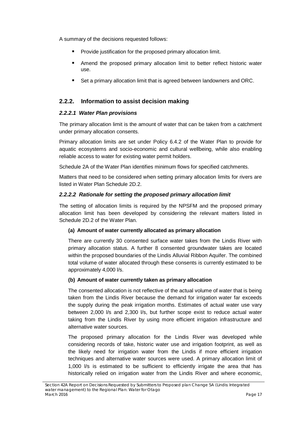A summary of the decisions requested follows:

- **Provide justification for the proposed primary allocation limit.**
- Amend the proposed primary allocation limit to better reflect historic water use.
- Set a primary allocation limit that is agreed between landowners and ORC.

# **2.2.2. Information to assist decision making**

### *2.2.2.1 Water Plan provisions*

The primary allocation limit is the amount of water that can be taken from a catchment under primary allocation consents.

Primary allocation limits are set under Policy 6.4.2 of the Water Plan to provide for aquatic ecosystems and socio-economic and cultural wellbeing, while also enabling reliable access to water for existing water permit holders.

Schedule 2A of the Water Plan identifies minimum flows for specified catchments.

Matters that need to be considered when setting primary allocation limits for rivers are listed in Water Plan Schedule 2D.2.

### *2.2.2.2 Rationale for setting the proposed primary allocation limit*

The setting of allocation limits is required by the NPSFM and the proposed primary allocation limit has been developed by considering the relevant matters listed in Schedule 2D.2 of the Water Plan.

### **(a) Amount of water currently allocated as primary allocation**

There are currently 30 consented surface water takes from the Lindis River with primary allocation status. A further 8 consented groundwater takes are located within the proposed boundaries of the Lindis Alluvial Ribbon Aquifer. The combined total volume of water allocated through these consents is currently estimated to be approximately 4,000 l/s.

### **(b) Amount of water currently taken as primary allocation**

The consented allocation is not reflective of the actual volume of water that is being taken from the Lindis River because the demand for irrigation water far exceeds the supply during the peak irrigation months. Estimates of actual water use vary between 2,000 l/s and 2,300 l/s, but further scope exist to reduce actual water taking from the Lindis River by using more efficient irrigation infrastructure and alternative water sources.

The proposed primary allocation for the Lindis River was developed while considering records of take, historic water use and irrigation footprint, as well as the likely need for irrigation water from the Lindis if more efficient irrigation techniques and alternative water sources were used. A primary allocation limit of 1,000 l/s is estimated to be sufficient to efficiently irrigate the area that has historically relied on irrigation water from the Lindis River and where economic,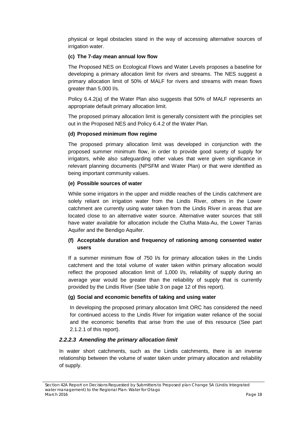physical or legal obstacles stand in the way of accessing alternative sources of irrigation water.

### **(c) The 7-day mean annual low flow**

The Proposed NES on Ecological Flows and Water Levels proposes a baseline for developing a primary allocation limit for rivers and streams. The NES suggest a primary allocation limit of 50% of MALF for rivers and streams with mean flows greater than 5,000 l/s.

Policy 6.4.2(a) of the Water Plan also suggests that 50% of MALF represents an appropriate default primary allocation limit.

The proposed primary allocation limit is generally consistent with the principles set out in the Proposed NES and Policy 6.4.2 of the Water Plan.

#### **(d) Proposed minimum flow regime**

The proposed primary allocation limit was developed in conjunction with the proposed summer minimum flow, in order to provide good surety of supply for irrigators, while also safeguarding other values that were given significance in relevant planning documents (NPSFM and Water Plan) or that were identified as being important community values.

#### **(e) Possible sources of water**

While some irrigators in the upper and middle reaches of the Lindis catchment are solely reliant on irrigation water from the Lindis River, others in the Lower catchment are currently using water taken from the Lindis River in areas that are located close to an alternative water source. Alternative water sources that still have water available for allocation include the Clutha Mata-Au, the Lower Tarras Aquifer and the Bendigo Aquifer.

### **(f) Acceptable duration and frequency of rationing among consented water users**

If a summer minimum flow of 750 l/s for primary allocation takes in the Lindis catchment and the total volume of water taken within primary allocation would reflect the proposed allocation limit of 1,000 l/s, reliability of supply during an average year would be greater than the reliability of supply that is currently provided by the Lindis River (See table 3 on page 12 of this report).

### **(g) Social and economic benefits of taking and using water**

In developing the proposed primary allocation limit ORC has considered the need for continued access to the Lindis River for irrigation water reliance of the social and the economic benefits that arise from the use of this resource (See part 2.1.2.1 of this report).

### *2.2.2.3 Amending the primary allocation limit*

In water short catchments, such as the Lindis catchments, there is an inverse relationship between the volume of water taken under primary allocation and reliability of supply.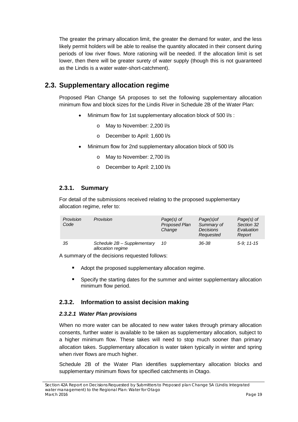The greater the primary allocation limit, the greater the demand for water, and the less likely permit holders will be able to realise the quantity allocated in their consent during periods of low river flows. More rationing will be needed. If the allocation limit is set lower, then there will be greater surety of water supply (though this is not guaranteed as the Lindis is a water water-short-catchment).

# <span id="page-23-0"></span>**2.3. Supplementary allocation regime**

Proposed Plan Change 5A proposes to set the following supplementary allocation minimum flow and block sizes for the Lindis River in Schedule 2B of the Water Plan:

- Minimum flow for 1st supplementary allocation block of 500 l/s :
	- o May to November: 2,200 l/s
	- o December to April: 1,600 l/s
- Minimum flow for 2nd supplementary allocation block of 500 l/s
	- o May to November: 2,700 l/s
	- o December to April: 2,100 l/s

# **2.3.1. Summary**

For detail of the submissions received relating to the proposed supplementary allocation regime, refer to:

| Provision<br>Code | Provision                                        | Page(s) of<br>Proposed Plan<br>Change | Page(s) of<br>Summary of<br><b>Decisions</b><br>Requested | Page(s) of<br>Section 32<br>Evaluation<br>Report |
|-------------------|--------------------------------------------------|---------------------------------------|-----------------------------------------------------------|--------------------------------------------------|
| 35                | Schedule 2B - Supplementary<br>allocation regime | 10                                    | 36-38                                                     | $5-9:11-15$                                      |

A summary of the decisions requested follows:

- Adopt the proposed supplementary allocation regime.
- Specify the starting dates for the summer and winter supplementary allocation minimum flow period.

# **2.3.2. Information to assist decision making**

### *2.3.2.1 Water Plan provisions*

When no more water can be allocated to new water takes through primary allocation consents, further water is available to be taken as supplementary allocation, subject to a higher minimum flow. These takes will need to stop much sooner than primary allocation takes. Supplementary allocation is water taken typically in winter and spring when river flows are much higher.

Schedule 2B of the Water Plan identifies supplementary allocation blocks and supplementary minimum flows for specified catchments in Otago.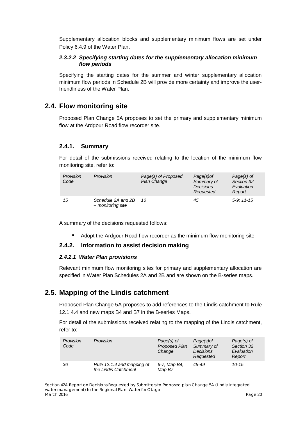Supplementary allocation blocks and supplementary minimum flows are set under Policy 6.4.9 of the Water Plan.

### *2.3.2.2 Specifying starting dates for the supplementary allocation minimum flow periods*

Specifying the starting dates for the summer and winter supplementary allocation minimum flow periods in Schedule 2B will provide more certainty and improve the userfriendliness of the Water Plan.

# <span id="page-24-0"></span>**2.4. Flow monitoring site**

Proposed Plan Change 5A proposes to set the primary and supplementary minimum flow at the Ardgour Road flow recorder site.

### **2.4.1. Summary**

For detail of the submissions received relating to the location of the minimum flow monitoring site, refer to:

| Provision<br>Code | Provision                               | Page(s) of Proposed<br>Plan Change | Page(s) of<br>Summary of<br><b>Decisions</b><br>Requested | $Page(s)$ of<br>Section 32<br>Evaluation<br>Report |
|-------------------|-----------------------------------------|------------------------------------|-----------------------------------------------------------|----------------------------------------------------|
| 15                | Schedule 2A and 2B<br>- monitoring site | - 10                               | 45                                                        | $5-9:11-15$                                        |

A summary of the decisions requested follows:

Adopt the Ardgour Road flow recorder as the minimum flow monitoring site.

### **2.4.2. Information to assist decision making**

#### *2.4.2.1 Water Plan provisions*

Relevant minimum flow monitoring sites for primary and supplementary allocation are specified in Water Plan Schedules 2A and 2B and are shown on the B-series maps.

# <span id="page-24-1"></span>**2.5. Mapping of the Lindis catchment**

Proposed Plan Change 5A proposes to add references to the Lindis catchment to Rule 12.1.4.4 and new maps B4 and B7 in the B-series Maps.

For detail of the submissions received relating to the mapping of the Lindis catchment, refer to:

| Provision<br>Code | Provision                                          | Page(s) of<br>Proposed Plan<br>Change | Page(s) of<br>Summary of<br><b>Decisions</b><br>Requested | $Page(s)$ of<br>Section 32<br>Evaluation<br>Report |
|-------------------|----------------------------------------------------|---------------------------------------|-----------------------------------------------------------|----------------------------------------------------|
| 36                | Rule 12.1.4 and mapping of<br>the Lindis Catchment | 6-7, Map B4,<br>Map B7                | 45-49                                                     | $10 - 15$                                          |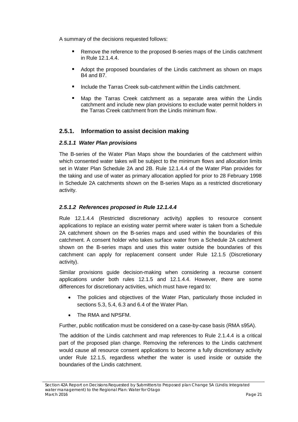A summary of the decisions requested follows:

- **Remove the reference to the proposed B-series maps of the Lindis catchment** in Rule 12.1.4.4.
- Adopt the proposed boundaries of the Lindis catchment as shown on maps B4 and B7.
- **IDED** Include the Tarras Creek sub-catchment within the Lindis catchment.
- Map the Tarras Creek catchment as a separate area within the Lindis catchment and include new plan provisions to exclude water permit holders in the Tarras Creek catchment from the Lindis minimum flow.

# **2.5.1. Information to assist decision making**

#### *2.5.1.1 Water Plan provisions*

The B-series of the Water Plan Maps show the boundaries of the catchment within which consented water takes will be subject to the minimum flows and allocation limits set in Water Plan Schedule 2A and 2B. Rule 12.1.4.4 of the Water Plan provides for the taking and use of water as primary allocation applied for prior to 28 February 1998 in Schedule 2A catchments shown on the B-series Maps as a restricted discretionary activity.

### *2.5.1.2 References proposed in Rule 12.1.4.4*

Rule 12.1.4.4 (Restricted discretionary activity) applies to resource consent applications to replace an existing water permit where water is taken from a Schedule 2A catchment shown on the B-series maps and used within the boundaries of this catchment. A consent holder who takes surface water from a Schedule 2A catchment shown on the B-series maps and uses this water outside the boundaries of this catchment can apply for replacement consent under Rule 12.1.5 (Discretionary activity).

Similar provisions guide decision-making when considering a recourse consent applications under both rules 12.1.5 and 12.1.4.4. However, there are some differences for discretionary activities, which must have regard to:

- The policies and objectives of the Water Plan, particularly those included in sections 5.3, 5.4, 6.3 and 6.4 of the Water Plan.
- The RMA and NPSFM.

Further, public notification must be considered on a case-by-case basis (RMA s95A).

The addition of the Lindis catchment and map references to Rule 2.1.4.4 is a critical part of the proposed plan change. Removing the references to the Lindis catchment would cause all resource consent applications to become a fully discretionary activity under Rule 12.1.5, regardless whether the water is used inside or outside the boundaries of the Lindis catchment.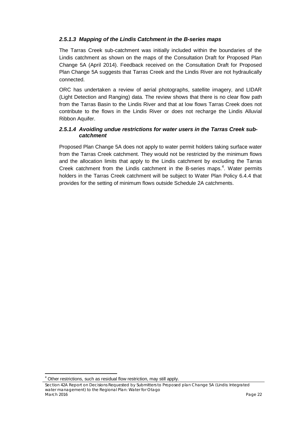### *2.5.1.3 Mapping of the Lindis Catchment in the B-series maps*

The Tarras Creek sub-catchment was initially included within the boundaries of the Lindis catchment as shown on the maps of the Consultation Draft for Proposed Plan Change 5A (April 2014). Feedback received on the Consultation Draft for Proposed Plan Change 5A suggests that Tarras Creek and the Lindis River are not hydraulically connected.

ORC has undertaken a review of aerial photographs, satellite imagery, and LIDAR (Light Detection and Ranging) data. The review shows that there is no clear flow path from the Tarras Basin to the Lindis River and that at low flows Tarras Creek does not contribute to the flows in the Lindis River or does not recharge the Lindis Alluvial Ribbon Aquifer.

### *2.5.1.4 Avoiding undue restrictions for water users in the Tarras Creek subcatchment*

Proposed Plan Change 5A does not apply to water permit holders taking surface water from the Tarras Creek catchment. They would not be restricted by the minimum flows and the allocation limits that apply to the Lindis catchment by excluding the Tarras Creek catchment from the Lindis catchment in the B-series maps.<sup>[4](#page-26-0)</sup>. Water permits holders in the Tarras Creek catchment will be subject to Water Plan Policy 6.4.4 that provides for the setting of minimum flows outside Schedule 2A catchments.

1

<sup>&</sup>lt;sup>4</sup> Other restrictions, such as residual flow restriction, may still apply.

<span id="page-26-0"></span>*Section 42A Report on Decisions Requested by Submitters to Proposed plan Change 5A (Lindis: Integrated water management) to the Regional Plan: Water for Otago March 2016 Page 22*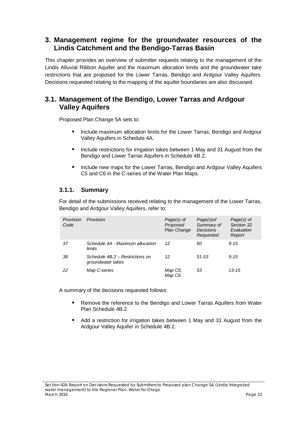# <span id="page-27-0"></span>**3. Management regime for the groundwater resources of the Lindis Catchment and the Bendigo-Tarras Basin**

This chapter provides an overview of submitter requests relating to the management of the Lindis Alluvial Ribbon Aquifer and the maximum allocation limits and the groundwater take restrictions that are proposed for the Lower Tarras, Bendigo and Ardgour Valley Aquifers. Decisions requested relating to the mapping of the aquifer boundaries are also discussed.

# <span id="page-27-1"></span>**3.1. Management of the Bendigo, Lower Tarras and Ardgour Valley Aquifers**

Proposed Plan Change 5A sets to:

- Include maximum allocation limits for the Lower Tarras, Bendigo and Ardgour Valley Aquifers in Schedule 4A.
- Include restrictions for irrigation takes between 1 May and 31 August from the Bendigo and Lower Tarras Aquifers in Schedule 4B.2.
- **Include new maps for the Lower Tarras, Bendigo and Ardgour Valley Aquifers** C5 and C6 in the C-series of the Water Plan Maps.

# **3.1.1. Summary**

For detail of the submissions received relating to the management of the Lower Tarras, Bendigo and Ardgour Valley Aquifers, refer to:

| Provision<br>Code | Provision                                            | Page(s) of<br>Proposed<br><b>Plan Change</b> | Page(s) of<br>Summary of<br><b>Decisions</b><br>Requested | Page(s) of<br>Section 32<br>Evaluation<br>Report |
|-------------------|------------------------------------------------------|----------------------------------------------|-----------------------------------------------------------|--------------------------------------------------|
| 37                | Schedule 4A - Maximum allocation<br>limits           | 12                                           | 50                                                        | $9 - 15$                                         |
| 38                | Schedule 4B.2 - Restrictions on<br>groundwater takes | 12                                           | 51-53                                                     | $9 - 15$                                         |
| 22                | Map C-series                                         | Map C5,<br>Map C6                            | 53                                                        | $13 - 15$                                        |

A summary of the decisions requested follows:

- Remove the reference to the Bendigo and Lower Tarras Aquifers from Water Plan Schedule 4B.2.
- Add a restriction for irrigation takes between 1 May and 31 August from the Ardgour Valley Aquifer in Schedule 4B.2.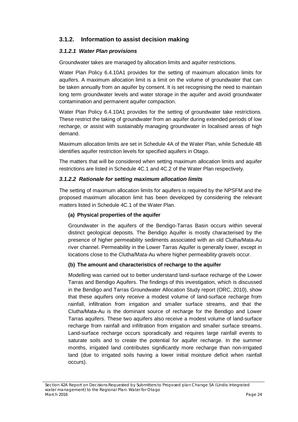# **3.1.2. Information to assist decision making**

### *3.1.2.1 Water Plan provisions*

Groundwater takes are managed by allocation limits and aquifer restrictions.

Water Plan Policy 6.4.10A1 provides for the setting of maximum allocation limits for aquifers. A maximum allocation limit is a limit on the volume of groundwater that can be taken annually from an aquifer by consent. It is set recognising the need to maintain long term groundwater levels and water storage in the aquifer and avoid groundwater contamination and permanent aquifer compaction.

Water Plan Policy 6.4.10A1 provides for the setting of groundwater take restrictions. These restrict the taking of groundwater from an aquifer during extended periods of low recharge, or assist with sustainably managing groundwater in localised areas of high demand.

Maximum allocation limits are set in Schedule 4A of the Water Plan, while Schedule 4B identifies aquifer restriction levels for specified aquifers in Otago.

The matters that will be considered when setting maximum allocation limits and aquifer restrictions are listed in Schedule 4C.1 and 4C.2 of the Water Plan respectively.

#### *3.1.2.2 Rationale for setting maximum allocation limits*

The setting of maximum allocation limits for aquifers is required by the NPSFM and the proposed maximum allocation limit has been developed by considering the relevant matters listed in Schedule 4C.1 of the Water Plan.

### **(a) Physical properties of the aquifer**

Groundwater in the aquifers of the Bendigo-Tarras Basin occurs within several distinct geological deposits. The Bendigo Aquifer is mostly characterised by the presence of higher permeability sediments associated with an old Clutha/Mata-Au river channel. Permeability in the Lower Tarras Aquifer is generally lower, except in locations close to the Clutha/Mata-Au where higher permeability gravels occur.

#### **(b) The amount and characteristics of recharge to the aquifer**

Modelling was carried out to better understand land-surface recharge of the Lower Tarras and Bendigo Aquifers. The findings of this investigation, which is discussed in the Bendigo and Tarras Groundwater Allocation Study report (ORC, 2010), show that these aquifers only receive a modest volume of land-surface recharge from rainfall, infiltration from irrigation and smaller surface streams, and that the Clutha/Mata-Au is the dominant source of recharge for the Bendigo and Lower Tarras aquifers. These two aquifers also receive a modest volume of land-surface recharge from rainfall and infiltration from irrigation and smaller surface streams. Land-surface recharge occurs sporadically and requires large rainfall events to saturate soils and to create the potential for aquifer recharge. In the summer months, irrigated land contributes significantly more recharge than non-irrigated land (due to irrigated soils having a lower initial moisture deficit when rainfall occurs).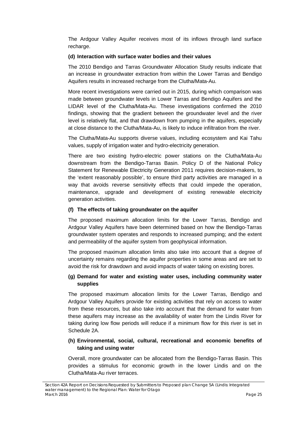The Ardgour Valley Aquifer receives most of its inflows through land surface recharge.

#### **(d) Interaction with surface water bodies and their values**

The 2010 Bendigo and Tarras Groundwater Allocation Study results indicate that an increase in groundwater extraction from within the Lower Tarras and Bendigo Aquifers results in increased recharge from the Clutha/Mata-Au.

More recent investigations were carried out in 2015, during which comparison was made between groundwater levels in Lower Tarras and Bendigo Aquifers and the LIDAR level of the Clutha/Mata-Au. These investigations confirmed the 2010 findings, showing that the gradient between the groundwater level and the river level is relatively flat, and that drawdown from pumping in the aquifers, especially at close distance to the Clutha/Mata-Au, is likely to induce infiltration from the river.

The Clutha/Mata-Au supports diverse values, including ecosystem and Kai Tahu values, supply of irrigation water and hydro-electricity generation.

There are two existing [hydro-electric](https://en.wikipedia.org/wiki/Hydroelectric) power stations on the Clutha/Mata-Au downstream from the Bendigo-Tarras Basin. Policy D of the National Policy Statement for Renewable Electricity Generation 2011 requires decision-makers, to the 'extent reasonably possible', to ensure third party activities are managed in a way that avoids reverse sensitivity effects that could impede the operation, maintenance, upgrade and development of existing renewable electricity generation activities.

#### **(f) The effects of taking groundwater on the aquifer**

The proposed maximum allocation limits for the Lower Tarras, Bendigo and Ardgour Valley Aquifers have been determined based on how the Bendigo-Tarras groundwater system operates and responds to increased pumping; and the extent and permeability of the aquifer system from geophysical information.

The proposed maximum allocation limits also take into account that a degree of uncertainty remains regarding the aquifer properties in some areas and are set to avoid the risk for drawdown and avoid impacts of water taking on existing bores.

### **(g) Demand for water and existing water uses, including community water supplies**

The proposed maximum allocation limits for the Lower Tarras, Bendigo and Ardgour Valley Aquifers provide for existing activities that rely on access to water from these resources, but also take into account that the demand for water from these aquifers may increase as the availability of water from the Lindis River for taking during low flow periods will reduce if a minimum flow for this river is set in Schedule 2A.

### **(h) Environmental, social, cultural, recreational and economic benefits of taking and using water**

Overall, more groundwater can be allocated from the Bendigo-Tarras Basin. This provides a stimulus for economic growth in the lower Lindis and on the Clutha/Mata-Au river terraces.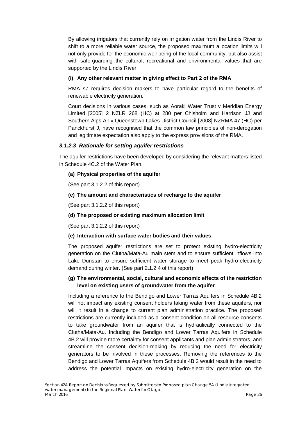By allowing irrigators that currently rely on irrigation water from the Lindis River to shift to a more reliable water source, the proposed maximum allocation limits will not only provide for the economic well-being of the local community, but also assist with safe-guarding the cultural, recreational and environmental values that are supported by the Lindis River.

### **(i) Any other relevant matter in giving effect to Part 2 of the RMA**

RMA s7 requires decision makers to have particular regard to the benefits of renewable electricity generation.

Court decisions in various cases, such as Aoraki Water Trust v Meridian Energy Limited [2005] 2 NZLR 268 (HC) at 280 per Chisholm and Harrison JJ and Southern Alps Air v Queenstown Lakes District Council [2008] NZRMA 47 (HC) per Panckhurst J, have recognised that the common law principles of non-derogation and legitimate expectation also apply to the express provisions of the RMA.

### *3.1.2.3 Rationale for setting aquifer restrictions*

The aquifer restrictions have been developed by considering the relevant matters listed in Schedule 4C.2 of the Water Plan.

### **(a) Physical properties of the aquifer**

(See part 3.1.2.2 of this report)

### **(c) The amount and characteristics of recharge to the aquifer**

(See part 3.1.2.2 of this report)

### **(d) The proposed or existing maximum allocation limit**

(See part 3.1.2.2 of this report)

### **(e) Interaction with surface water bodies and their values**

The proposed aquifer restrictions are set to protect existing hydro-electricity generation on the Clutha/Mata-Au main stem and to ensure sufficient inflows into Lake Dunstan to ensure sufficient water storage to meet peak hydro-electricity demand during winter. (See part 2.1.2.4 of this report)

### **(g) The environmental, social, cultural and economic effects of the restriction level on existing users of groundwater from the aquifer**

Including a reference to the Bendigo and Lower Tarras Aquifers in Schedule 4B.2 will not impact any existing consent holders taking water from these aquifers, nor will it result in a change to current plan administration practice. The proposed restrictions are currently included as a consent condition on all resource consents to take groundwater from an aquifer that is hydraulically connected to the Clutha/Mata-Au. Including the Bendigo and Lower Tarras Aquifers in Schedule 4B.2 will provide more certainty for consent applicants and plan administrators, and streamline the consent decision-making by reducing the need for electricity generators to be involved in these processes. Removing the references to the Bendigo and Lower Tarras Aquifers from Schedule 4B.2 would result in the need to address the potential impacts on existing hydro-electricity generation on the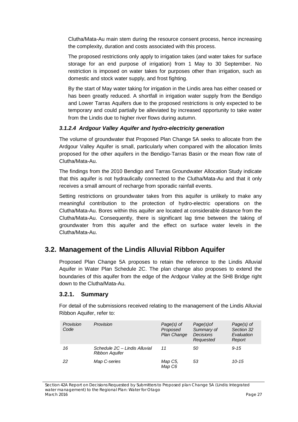Clutha/Mata-Au main stem during the resource consent process, hence increasing the complexity, duration and costs associated with this process.

The proposed restrictions only apply to irrigation takes (and water takes for surface storage for an end purpose of irrigation) from 1 May to 30 September. No restriction is imposed on water takes for purposes other than irrigation, such as domestic and stock water supply, and frost fighting.

By the start of May water taking for irrigation in the Lindis area has either ceased or has been greatly reduced. A shortfall in irrigation water supply from the Bendigo and Lower Tarras Aquifers due to the proposed restrictions is only expected to be temporary and could partially be alleviated by increased opportunity to take water from the Lindis due to higher river flows during autumn.

### *3.1.2.4 Ardgour Valley Aquifer and hydro-electricity generation*

The volume of groundwater that Proposed Plan Change 5A seeks to allocate from the Ardgour Valley Aquifer is small, particularly when compared with the allocation limits proposed for the other aquifers in the Bendigo-Tarras Basin or the mean flow rate of Clutha/Mata-Au.

The findings from the 2010 Bendigo and Tarras Groundwater Allocation Study indicate that this aquifer is not hydraulically connected to the Clutha/Mata-Au and that it only receives a small amount of recharge from sporadic rainfall events.

Setting restrictions on groundwater takes from this aquifer is unlikely to make any meaningful contribution to the protection of hydro-electric operations on the Clutha/Mata-Au. Bores within this aquifer are located at considerable distance from the Clutha/Mata-Au. Consequently, there is significant lag time between the taking of groundwater from this aquifer and the effect on surface water levels in the Clutha/Mata-Au.

# <span id="page-31-0"></span>**3.2. Management of the Lindis Alluvial Ribbon Aquifer**

Proposed Plan Change 5A proposes to retain the reference to the Lindis Alluvial Aquifer in Water Plan Schedule 2C. The plan change also proposes to extend the boundaries of this aquifer from the edge of the Ardgour Valley at the SH8 Bridge right down to the Clutha/Mata-Au.

# **3.2.1. Summary**

For detail of the submissions received relating to the management of the Lindis Alluvial Ribbon Aquifer, refer to:

| Provision<br>Code | Provision                                              | Page(s) of<br>Proposed<br>Plan Change | Page(s) of<br>Summary of<br><b>Decisions</b><br>Requested | Page(s) of<br>Section 32<br>Evaluation<br>Report |
|-------------------|--------------------------------------------------------|---------------------------------------|-----------------------------------------------------------|--------------------------------------------------|
| 16                | Schedule 2C - Lindis Alluvial<br><b>Ribbon Aquifer</b> | 11                                    | 50                                                        | $9 - 15$                                         |
| 22                | Map C-series                                           | Map C5,<br>Map C6                     | 53                                                        | $10 - 15$                                        |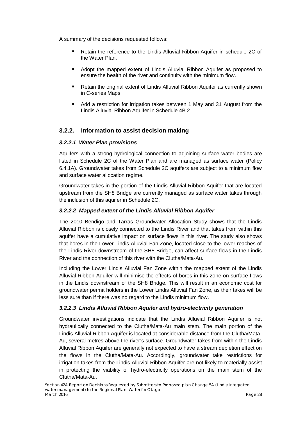A summary of the decisions requested follows:

- Retain the reference to the Lindis Alluvial Ribbon Aquifer in schedule 2C of the Water Plan.
- Adopt the mapped extent of Lindis Alluvial Ribbon Aquifer as proposed to ensure the health of the river and continuity with the minimum flow.
- Retain the original extent of Lindis Alluvial Ribbon Aquifer as currently shown in C-series Maps.
- Add a restriction for irrigation takes between 1 May and 31 August from the Lindis Alluvial Ribbon Aquifer in Schedule 4B.2.

# **3.2.2. Information to assist decision making**

### *3.2.2.1 Water Plan provisions*

Aquifers with a strong hydrological connection to adjoining surface water bodies are listed in Schedule 2C of the Water Plan and are managed as surface water (Policy 6.4.1A). Groundwater takes from Schedule 2C aquifers are subject to a minimum flow and surface water allocation regime.

Groundwater takes in the portion of the Lindis Alluvial Ribbon Aquifer that are located upstream from the SH8 Bridge are currently managed as surface water takes through the inclusion of this aquifer in Schedule 2C.

### *3.2.2.2 Mapped extent of the Lindis Alluvial Ribbon Aquifer*

The 2010 Bendigo and Tarras Groundwater Allocation Study shows that the Lindis Alluvial Ribbon is closely connected to the Lindis River and that takes from within this aquifer have a cumulative impact on surface flows in this river. The study also shows that bores in the Lower Lindis Alluvial Fan Zone, located close to the lower reaches of the Lindis River downstream of the SH8 Bridge, can affect surface flows in the Lindis River and the connection of this river with the Clutha/Mata-Au.

Including the Lower Lindis Alluvial Fan Zone within the mapped extent of the Lindis Alluvial Ribbon Aquifer will minimise the effects of bores in this zone on surface flows in the Lindis downstream of the SH8 Bridge. This will result in an economic cost for groundwater permit holders in the Lower Lindis Alluvial Fan Zone, as their takes will be less sure than if there was no regard to the Lindis minimum flow.

# *3.2.2.3 Lindis Alluvial Ribbon Aquifer and hydro-electricity generation*

Groundwater investigations indicate that the Lindis Alluvial Ribbon Aquifer is not hydraulically connected to the Clutha/Mata-Au main stem. The main portion of the Lindis Alluvial Ribbon Aquifer is located at considerable distance from the Clutha/Mata-Au, several metres above the river's surface. Groundwater takes from within the Lindis Alluvial Ribbon Aquifer are generally not expected to have a stream depletion effect on the flows in the Clutha/Mata-Au. Accordingly, groundwater take restrictions for irrigation takes from the Lindis Alluvial Ribbon Aquifer are not likely to materially assist in protecting the viability of hydro-electricity operations on the main stem of the Clutha/Mata-Au.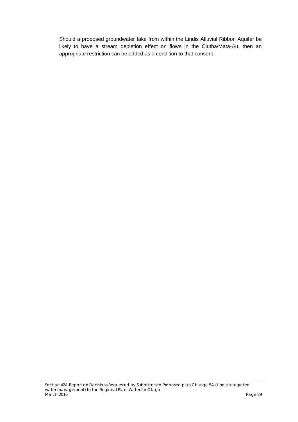<span id="page-33-0"></span>Should a proposed groundwater take from within the Lindis Alluvial Ribbon Aquifer be likely to have a stream depletion effect on flows in the Clutha/Mata-Au, then an appropriate restriction can be added as a condition to that consent.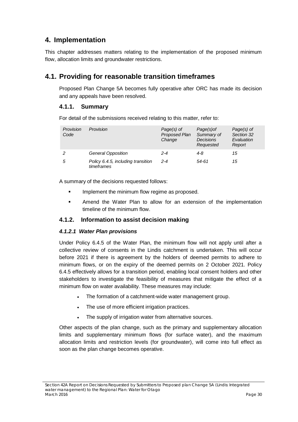# **4. Implementation**

This chapter addresses matters relating to the implementation of the proposed minimum flow, allocation limits and groundwater restrictions.

# <span id="page-34-0"></span>**4.1. Providing for reasonable transition timeframes**

Proposed Plan Change 5A becomes fully operative after ORC has made its decision and any appeals have been resolved.

# **4.1.1. Summary**

For detail of the submissions received relating to this matter, refer to:

| Provision<br>Code | Provision                                        | Page(s) of<br>Proposed Plan<br>Change | Page(s) of<br>Summary of<br><b>Decisions</b><br>Requested | Page(s) of<br>Section 32<br>Evaluation<br>Report |
|-------------------|--------------------------------------------------|---------------------------------------|-----------------------------------------------------------|--------------------------------------------------|
|                   | General Opposition                               | $2 - 4$                               | 4-8                                                       | 15                                               |
| 5                 | Policy 6.4.5, including transition<br>timeframes | $2 - 4$                               | 54-61                                                     | 15                                               |

A summary of the decisions requested follows:

- **IMPLEMENT IMPLEMENT IN THE MINUM** flow regime as proposed.
- **EXECT** Amend the Water Plan to allow for an extension of the implementation timeline of the minimum flow.

# **4.1.2. Information to assist decision making**

### *4.1.2.1 Water Plan provisions*

Under Policy 6.4.5 of the Water Plan, the minimum flow will not apply until after a collective review of consents in the Lindis catchment is undertaken. This will occur before 2021 if there is agreement by the holders of deemed permits to adhere to minimum flows, or on the expiry of the deemed permits on 2 October 2021. Policy 6.4.5 effectively allows for a transition period, enabling local consent holders and other stakeholders to investigate the feasibility of measures that mitigate the effect of a minimum flow on water availability. These measures may include:

- The formation of a catchment-wide water management group.
- The use of more efficient irrigation practices.
- The supply of irrigation water from alternative sources.

Other aspects of the plan change, such as the primary and supplementary allocation limits and supplementary minimum flows (for surface water), and the maximum allocation limits and restriction levels (for groundwater), will come into full effect as soon as the plan change becomes operative.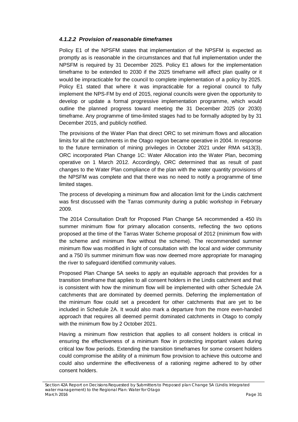### *4.1.2.2 Provision of reasonable timeframes*

Policy E1 of the NPSFM states that implementation of the NPSFM is expected as promptly as is reasonable in the circumstances and that full implementation under the NPSFM is required by 31 December 2025. Policy E1 allows for the implementation timeframe to be extended to 2030 if the 2025 timeframe will affect plan quality or it would be impracticable for the council to complete implementation of a policy by 2025. Policy E1 stated that where it was impracticable for a regional council to fully implement the NPS-FM by end of 2015, regional councils were given the opportunity to develop or update a formal progressive implementation programme, which would outline the planned progress toward meeting the 31 December 2025 (or 2030) timeframe. Any programme of time-limited stages had to be formally adopted by by 31 December 2015, and publicly notified.

The provisions of the Water Plan that direct ORC to set minimum flows and allocation limits for all the catchments in the Otago region became operative in 2004. In response to the future termination of mining privileges in October 2021 under RMA s413(3), ORC incorporated Plan Change 1C: Water Allocation into the Water Plan, becoming operative on 1 March 2012. Accordingly, ORC determined that as result of past changes to the Water Plan compliance of the plan with the water quantity provisions of the NPSFM was complete and that there was no need to notify a programme of time limited stages.

The process of developing a minimum flow and allocation limit for the Lindis catchment was first discussed with the Tarras community during a public workshop in February 2009.

The 2014 Consultation Draft for Proposed Plan Change 5A recommended a 450 l/s summer minimum flow for primary allocation consents, reflecting the two options proposed at the time of the Tarras Water Scheme proposal of 2012 (minimum flow with the scheme and minimum flow without the scheme). The recommended summer minimum flow was modified in light of consultation with the local and wider community and a 750 l/s summer minimum flow was now deemed more appropriate for managing the river to safeguard identified community values.

Proposed Plan Change 5A seeks to apply an equitable approach that provides for a transition timeframe that applies to all consent holders in the Lindis catchment and that is consistent with how the minimum flow will be implemented with other Schedule 2A catchments that are dominated by deemed permits. Deferring the implementation of the minimum flow could set a precedent for other catchments that are yet to be included in Schedule 2A. It would also mark a departure from the more even-handed approach that requires all deemed permit dominated catchments in Otago to comply with the minimum flow by 2 October 2021.

Having a minimum flow restriction that applies to all consent holders is critical in ensuring the effectiveness of a minimum flow in protecting important values during critical low flow periods. Extending the transition timeframes for some consent holders could compromise the ability of a minimum flow provision to achieve this outcome and could also undermine the effectiveness of a rationing regime adhered to by other consent holders.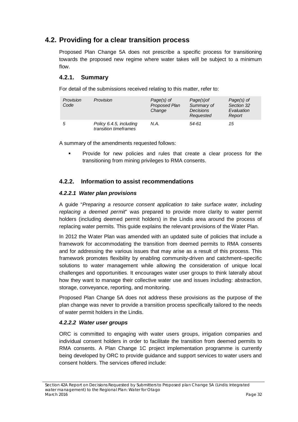# <span id="page-36-0"></span>**4.2. Providing for a clear transition process**

Proposed Plan Change 5A does not prescribe a specific process for transitioning towards the proposed new regime where water takes will be subject to a minimum flow.

# **4.2.1. Summary**

For detail of the submissions received relating to this matter, refer to:

| Provision<br>Code | Provision                                        | $Page(s)$ of<br>Proposed Plan<br>Change | Page(s) of<br>Summary of<br><b>Decisions</b><br>Requested | $Page(s)$ of<br>Section 32<br>Evaluation<br>Report |
|-------------------|--------------------------------------------------|-----------------------------------------|-----------------------------------------------------------|----------------------------------------------------|
| 5                 | Policy 6.4.5, including<br>transition timeframes | N.A.                                    | 54-61                                                     | 15                                                 |

A summary of the amendments requested follows:

 Provide for new policies and rules that create a clear process for the transitioning from mining privileges to RMA consents.

# **4.2.2. Information to assist recommendations**

### *4.2.2.1 Water plan provisions*

A guide "*Preparing a resource consent application to take surface water, including replacing a deemed permit*" was prepared to provide more clarity to water permit holders (including deemed permit holders) in the Lindis area around the process of replacing water permits. This guide explains the relevant provisions of the Water Plan.

In 2012 the Water Plan was amended with an updated suite of policies that include a framework for accommodating the transition from deemed permits to RMA consents and for addressing the various issues that may arise as a result of this process. This framework promotes flexibility by enabling community-driven and catchment–specific solutions to water management while allowing the consideration of unique local challenges and opportunities. It encourages water user groups to think laterally about how they want to manage their collective water use and issues including: abstraction, storage, conveyance, reporting, and monitoring.

Proposed Plan Change 5A does not address these provisions as the purpose of the plan change was never to provide a transition process specifically tailored to the needs of water permit holders in the Lindis.

# *4.2.2.2 Water user groups*

ORC is committed to engaging with water users groups, irrigation companies and individual consent holders in order to facilitate the transition from deemed permits to RMA consents. A Plan Change 1C project implementation programme is currently being developed by ORC to provide guidance and support services to water users and consent holders. The services offered include: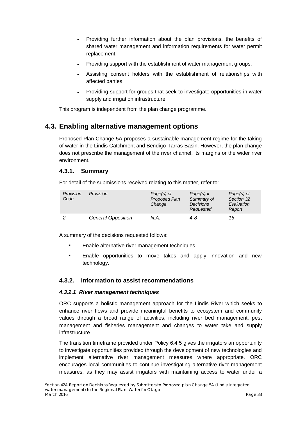- Providing further information about the plan provisions, the benefits of shared water management and information requirements for water permit replacement.
- Providing support with the establishment of water management groups.
- Assisting consent holders with the establishment of relationships with affected parties.
- Providing support for groups that seek to investigate opportunities in water supply and irrigation infrastructure.

This program is independent from the plan change programme.

# <span id="page-37-0"></span>**4.3. Enabling alternative management options**

Proposed Plan Change 5A proposes a sustainable management regime for the taking of water in the Lindis Catchment and Bendigo-Tarras Basin. However, the plan change does not prescribe the management of the river channel, its margins or the wider river environment.

# **4.3.1. Summary**

For detail of the submissions received relating to this matter, refer to:

| Provision<br>Code | <b>Provision</b>          | $Page(s)$ of<br>Proposed Plan<br>Change | Page(s) of<br>Summary of<br><b>Decisions</b><br>Requested | $Page(s)$ of<br>Section 32<br>Evaluation<br>Report |
|-------------------|---------------------------|-----------------------------------------|-----------------------------------------------------------|----------------------------------------------------|
|                   | <b>General Opposition</b> | N.A.                                    | 4-8                                                       | 15                                                 |

A summary of the decisions requested follows:

- **Enable alternative river management techniques.**
- Enable opportunities to move takes and apply innovation and new technology.

# **4.3.2. Information to assist recommendations**

### *4.3.2.1 River management techniques*

ORC supports a holistic management approach for the Lindis River which seeks to enhance river flows and provide meaningful benefits to ecosystem and community values through a broad range of activities, including river bed management, pest management and fisheries management and changes to water take and supply infrastructure.

The transition timeframe provided under Policy 6.4.5 gives the irrigators an opportunity to investigate opportunities provided through the development of new technologies and implement alternative river management measures where appropriate. ORC encourages local communities to continue investigating alternative river management measures, as they may assist irrigators with maintaining access to water under a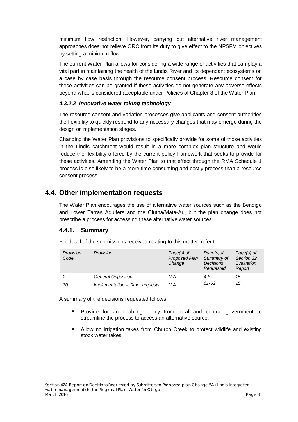minimum flow restriction. However, carrying out alternative river management approaches does not relieve ORC from its duty to give effect to the NPSFM objectives by setting a minimum flow.

The current Water Plan allows for considering a wide range of activities that can play a vital part in maintaining the health of the Lindis River and its dependant ecosystems on a case by case basis through the resource consent process. Resource consent for these activities can be granted if these activities do not generate any adverse effects beyond what is considered acceptable under Policies of Chapter 8 of the Water Plan.

### *4.3.2.2 Innovative water taking technology*

The resource consent and variation processes give applicants and consent authorities the flexibility to quickly respond to any necessary changes that may emerge during the design or implementation stages.

Changing the Water Plan provisions to specifically provide for some of those activities in the Lindis catchment would result in a more complex plan structure and would reduce the flexibility offered by the current policy framework that seeks to provide for these activities. Amending the Water Plan to that effect through the RMA Schedule 1 process is also likely to be a more time-consuming and costly process than a resource consent process.

# <span id="page-38-0"></span>**4.4. Other implementation requests**

The Water Plan encourages the use of alternative water sources such as the Bendigo and Lower Tarras Aquifers and the Clutha/Mata-Au, but the plan change does not prescribe a process for accessing these alternative water sources.

# **4.4.1. Summary**

For detail of the submissions received relating to this matter, refer to:

| Provision<br>Code | Provision                       | Page(s) of<br>Proposed Plan<br>Change | Page(s) of<br>Summary of<br><b>Decisions</b><br>Requested | Page(s) of<br>Section 32<br>Evaluation<br>Report |
|-------------------|---------------------------------|---------------------------------------|-----------------------------------------------------------|--------------------------------------------------|
| 2                 | <b>General Opposition</b>       | N.A.                                  | 4-8                                                       | 15                                               |
| 30                | Implementation - Other requests | N.A.                                  | 61-62                                                     | 15                                               |

A summary of the decisions requested follows:

- Provide for an enabling policy from local and central government to streamline the process to access an alternative source.
- Allow no irrigation takes from Church Creek to protect wildlife and existing stock water takes.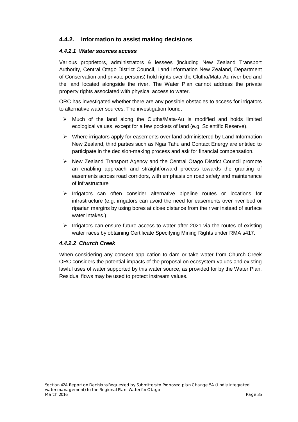# **4.4.2. Information to assist making decisions**

### *4.4.2.1 Water sources access*

Various proprietors, administrators & lessees (including New Zealand Transport Authority, Central Otago District Council, Land Information New Zealand, Department of Conservation and private persons) hold rights over the Clutha/Mata-Au river bed and the land located alongside the river. The Water Plan cannot address the private property rights associated with physical access to water.

ORC has investigated whether there are any possible obstacles to access for irrigators to alternative water sources. The investigation found:

- $\triangleright$  Much of the land along the Clutha/Mata-Au is modified and holds limited ecological values, except for a few pockets of land (e.g. Scientific Reserve).
- $\triangleright$  Where irrigators apply for easements over land administered by Land Information New Zealand, third parties such as Ngai Tahu and Contact Energy are entitled to participate in the decision-making process and ask for financial compensation.
- $\triangleright$  New Zealand Transport Agency and the Central Otago District Council promote an enabling approach and straightforward process towards the granting of easements across road corridors, with emphasis on road safety and maintenance of infrastructure
- $\triangleright$  Irrigators can often consider alternative pipeline routes or locations for infrastructure (e.g. irrigators can avoid the need for easements over river bed or riparian margins by using bores at close distance from the river instead of surface water intakes.)
- $\triangleright$  Irrigators can ensure future access to water after 2021 via the routes of existing water races by obtaining Certificate Specifying Mining Rights under RMA s417.

### *4.4.2.2 Church Creek*

When considering any consent application to dam or take water from Church Creek ORC considers the potential impacts of the proposal on ecosystem values and existing lawful uses of water supported by this water source, as provided for by the Water Plan. Residual flows may be used to protect instream values.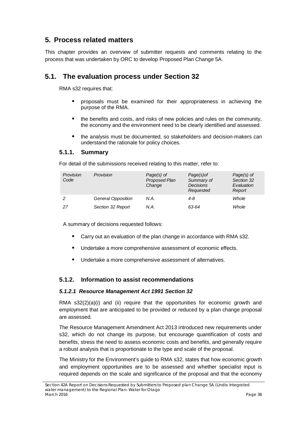# <span id="page-40-0"></span>**5. Process related matters**

This chapter provides an overview of submitter requests and comments relating to the process that was undertaken by ORC to develop Proposed Plan Change 5A.

# <span id="page-40-1"></span>**5.1. The evaluation process under Section 32**

RMA s32 requires that:

- proposals must be examined for their appropriateness in achieving the purpose of the RMA.
- the benefits and costs, and risks of new policies and rules on the community, the economy and the environment need to be clearly identified and assessed.
- the analysis must be documented, so stakeholders and decision-makers can understand the rationale for policy choices.

### **5.1.1. Summary**

For detail of the submissions received relating to this matter, refer to:

| Provision<br>Code | Provision          | $Page(s)$ of<br>Proposed Plan<br>Change | Page(s) of<br>Summary of<br><b>Decisions</b><br>Requested | $Page(s)$ of<br>Section 32<br>Evaluation<br>Report |
|-------------------|--------------------|-----------------------------------------|-----------------------------------------------------------|----------------------------------------------------|
| 2                 | General Opposition | N.A.                                    | 4-8                                                       | Whole                                              |
| 27                | Section 32 Report  | N.A.                                    | 63-64                                                     | Whole                                              |

A summary of decisions requested follows:

- Carry out an evaluation of the plan change in accordance with RMA s32.
- **Undertake a more comprehensive assessment of economic effects.**
- **Undertake a more comprehensive assessment of alternatives.**

### **5.1.2. Information to assist recommendations**

#### *5.1.2.1 Resource Management Act 1991 Section 32*

RMA  $s32(2)(a)(i)$  and (ii) require that the opportunities for economic growth and employment that are anticipated to be provided or reduced by a plan change proposal are assessed.

The Resource Management Amendment Act 2013 introduced new requirements under s32, which do not change its purpose, but encourage quantification of costs and benefits, stress the need to assess economic costs and benefits, and generally require a robust analysis that is proportionate to the type and scale of the proposal.

The Ministry for the Environment's guide to RMA s32, states that how economic growth and employment opportunities are to be assessed and whether specialist input is required depends on the scale and significance of the proposal and that the economy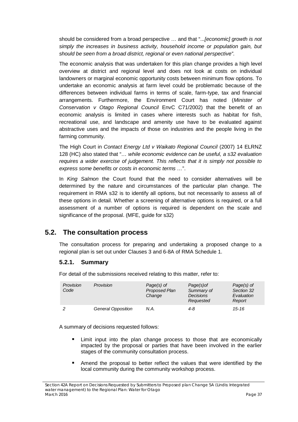should be considered from a broad perspective … and that "..*.[economic] growth is not simply the increases in business activity, household income or population gain, but should be seen from a broad district, regional or even national perspective"*.

The economic analysis that was undertaken for this plan change provides a high level overview at district and regional level and does not look at costs on individual landowners or marginal economic opportunity costs between minimum flow options. To undertake an economic analysis at farm level could be problematic because of the differences between individual farms in terms of scale, farm-type, tax and financial arrangements. Furthermore, the Environment Court has noted (*[Minister of](http://www.westlaw.co.nz/maf/wlnz/app/document?docguid=Iacfcff299f4b11e0a619d462427863b2&&src=doc&hitguid=Iaaf792349f4b11e0a619d462427863b2&snippets=true&startChunk=1&endChunk=1&isTocNav=true&tocDs=AUNZ_NZ_LEGCOMM_TOC%23anchor_Iaaf792349f4b11e0a619d462427863b2)  [Conservation v Otago Regional Co](http://www.westlaw.co.nz/maf/wlnz/app/document?docguid=Iacfcff299f4b11e0a619d462427863b2&&src=doc&hitguid=Iaaf792349f4b11e0a619d462427863b2&snippets=true&startChunk=1&endChunk=1&isTocNav=true&tocDs=AUNZ_NZ_LEGCOMM_TOC%23anchor_Iaaf792349f4b11e0a619d462427863b2)uncil* EnvC C71/2002) that the benefit of an economic analysis is limited in cases where interests such as habitat for fish, recreational use, and landscape and amenity use have to be evaluated against abstractive uses and the impacts of those on industries and the people living in the farming community.

The High Court in *Contact Energy Ltd v Waikato Regional Council* (2007) 14 ELRNZ 128 (HC) also stated that "*… while economic evidence can be useful, a s32 evaluation requires a wider exercise of judgement. This reflects that it is simply not possible to express some benefits or costs in economic terms …*".

In *King Salmon* the Court found that the need to consider alternatives will be determined by the nature and circumstances of the particular plan change. The requirement in RMA s32 is to identify all options, but not necessarily to assess all of these options in detail. Whether a screening of alternative options is required, or a full assessment of a number of options is required is dependent on the scale and significance of the proposal. (MFE, guide for s32)

# <span id="page-41-0"></span>**5.2. The consultation process**

The consultation process for preparing and undertaking a proposed change to a regional plan is set out under Clauses 3 and 6-8A of RMA Schedule 1.

# **5.2.1. Summary**

For detail of the submissions received relating to this matter, refer to:

| Provision<br>Code | Provision          | $Page(s)$ of<br>Proposed Plan<br>Change | Page(s) of<br>Summary of<br><b>Decisions</b><br>Requested | $Page(s)$ of<br>Section 32<br>Evaluation<br>Report |
|-------------------|--------------------|-----------------------------------------|-----------------------------------------------------------|----------------------------------------------------|
|                   | General Opposition | N.A.                                    | 4-8                                                       | $15 - 16$                                          |

A summary of decisions requested follows:

- Limit input into the plan change process to those that are economically impacted by the proposal or parties that have been involved in the earlier stages of the community consultation process.
- Amend the proposal to better reflect the values that were identified by the local community during the community workshop process.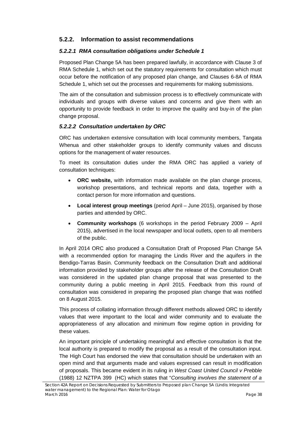# **5.2.2. Information to assist recommendations**

### *5.2.2.1 RMA consultation obligations under Schedule 1*

Proposed Plan Change 5A has been prepared lawfully, in accordance with Clause 3 of RMA Schedule 1, which set out the statutory requirements for consultation which must occur before the notification of any proposed plan change, and Clauses 6-8A of RMA Schedule 1, which set out the processes and requirements for making submissions.

The aim of the consultation and submission process is to effectively communicate with individuals and groups with diverse values and concerns and give them with an opportunity to provide feedback in order to improve the quality and buy-in of the plan change proposal.

### *5.2.2.2 Consultation undertaken by ORC*

ORC has undertaken extensive consultation with local community members, Tangata Whenua and other stakeholder groups to identify community values and discuss options for the management of water resources.

To meet its consultation duties under the RMA ORC has applied a variety of consultation techniques:

- **ORC website,** with information made available on the plan change process, workshop presentations, and technical reports and data, together with a contact person for more information and questions.
- **Local interest group meetings** (period April June 2015), organised by those parties and attended by ORC.
- **Community workshops** (6 workshops in the period February 2009 April 2015), advertised in the local newspaper and local outlets, open to all members of the public.

In April 2014 ORC also produced a Consultation Draft of Proposed Plan Change 5A with a recommended option for managing the Lindis River and the aquifers in the Bendigo-Tarras Basin. Community feedback on the Consultation Draft and additional information provided by stakeholder groups after the release of the Consultation Draft was considered in the updated plan change proposal that was presented to the community during a public meeting in April 2015. Feedback from this round of consultation was considered in preparing the proposed plan change that was notified on 8 August 2015.

This process of collating information through different methods allowed ORC to identify values that were important to the local and wider community and to evaluate the appropriateness of any allocation and minimum flow regime option in providing for these values.

An important principle of undertaking meaningful and effective consultation is that the local authority is prepared to modify the proposal as a result of the consultation input. The High Court has endorsed the view that consultation should be undertaken with an open mind and that arguments made and values expressed can result in modification of proposals. This became evident in its ruling in *[West Coast United Council v Prebble](http://www.westlaw.co.nz/maf/wlnz/app/document?docguid=Ie74c0d749f8611e0a619d462427863b2&&src=doc&hitguid=I154b26b59f3311e0a619d462427863b2&snippets=true&startChunk=1&endChunk=1&isTocNav=true&tocDs=AUNZ_NZ_LEGCOMM_TOC%23anchor_I154b26b59f3311e0a619d462427863b2)* (1988) 12 NZTPA 399 (HC) which states that "*Consulting involves the statement of a*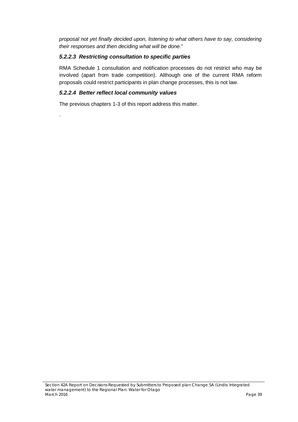*proposal not yet finally decided upon, listening to what others have to say, considering their responses and then deciding what will be done.*"

### *5.2.2.3 Restricting consultation to specific parties*

RMA Schedule 1 consultation and notification processes do not restrict who may be involved (apart from trade competition). Although one of the current RMA reform proposals could restrict participants in plan change processes, this is not law.

### *5.2.2.4 Better reflect local community values*

.

The previous chapters 1-3 of this report address this matter.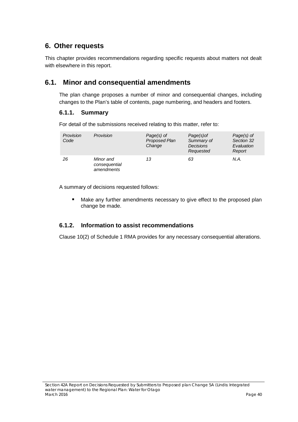# <span id="page-44-0"></span>**6. Other requests**

This chapter provides recommendations regarding specific requests about matters not dealt with elsewhere in this report.

# <span id="page-44-1"></span>**6.1. Minor and consequential amendments**

The plan change proposes a number of minor and consequential changes, including changes to the Plan's table of contents, page numbering, and headers and footers.

# **6.1.1. Summary**

For detail of the submissions received relating to this matter, refer to:

| Provision<br>Code | Provision                                | Page(s) of<br>Proposed Plan<br>Change | Page(s) of<br>Summary of<br><b>Decisions</b><br>Requested | Page(s) of<br>Section 32<br>Evaluation<br>Report |
|-------------------|------------------------------------------|---------------------------------------|-----------------------------------------------------------|--------------------------------------------------|
| 26                | Minor and<br>consequential<br>amendments | 13                                    | 63                                                        | N.A.                                             |

A summary of decisions requested follows:

**Make any further amendments necessary to give effect to the proposed plan** change be made.

# **6.1.2. Information to assist recommendations**

Clause 10(2) of Schedule 1 RMA provides for any necessary consequential alterations.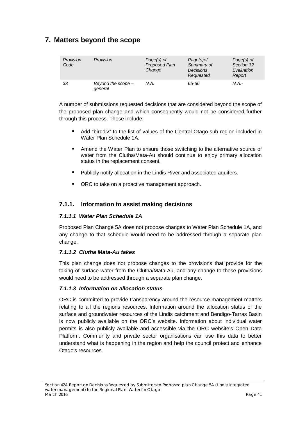# <span id="page-45-0"></span>**7. Matters beyond the scope**

| Provision<br>Code | Provision                       | $Page(s)$ of<br>Proposed Plan<br>Change | Page(s) of<br>Summary of<br><b>Decisions</b><br>Requested | $Page(s)$ of<br>Section 32<br>Evaluation<br>Report |
|-------------------|---------------------------------|-----------------------------------------|-----------------------------------------------------------|----------------------------------------------------|
| 33                | Beyond the scope $-$<br>general | N.A.                                    | 65-66                                                     | N.A.-                                              |

A number of submissions requested decisions that are considered beyond the scope of the proposed plan change and which consequently would not be considered further through this process. These include:

- Add "birddiv" to the list of values of the Central Otago sub region included in Water Plan Schedule 1A.
- Amend the Water Plan to ensure those switching to the alternative source of water from the Clutha/Mata-Au should continue to enjoy primary allocation status in the replacement consent.
- **Publicly notify allocation in the Lindis River and associated aquifers.**
- ORC to take on a proactive management approach.

# **7.1.1. Information to assist making decisions**

### *7.1.1.1 Water Plan Schedule 1A*

Proposed Plan Change 5A does not propose changes to Water Plan Schedule 1A, and any change to that schedule would need to be addressed through a separate plan change.

# *7.1.1.2 Clutha Mata-Au takes*

This plan change does not propose changes to the provisions that provide for the taking of surface water from the Clutha/Mata-Au, and any change to these provisions would need to be addressed through a separate plan change.

# *7.1.1.3 Information on allocation status*

ORC is committed to provide transparency around the resource management matters relating to all the regions resources. Information around the allocation status of the surface and groundwater resources of the Lindis catchment and Bendigo-Tarras Basin is now publicly available on the ORC's website. Information about individual water permits is also publicly available and accessible via the ORC website's Open Data Platform. Community and private sector organisations can use this data to better understand what is happening in the region and help the council protect and enhance Otago's resources.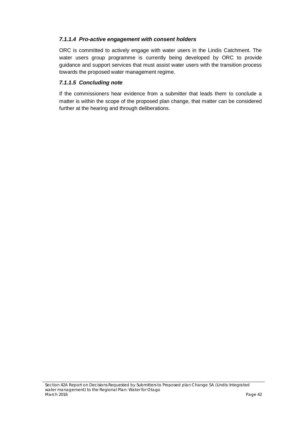### *7.1.1.4 Pro-active engagement with consent holders*

ORC is committed to actively engage with water users in the Lindis Catchment. The water users group programme is currently being developed by ORC to provide guidance and support services that must assist water users with the transition process towards the proposed water management regime.

### *7.1.1.5 Concluding note*

If the commissioners hear evidence from a submitter that leads them to conclude a matter is within the scope of the proposed plan change, that matter can be considered further at the hearing and through deliberations.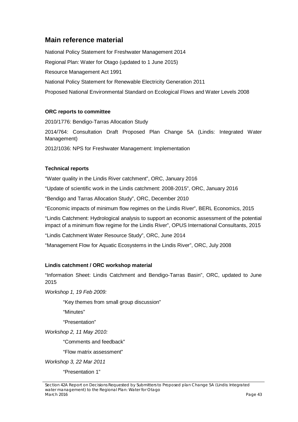# <span id="page-47-0"></span>**Main reference material**

National Policy Statement for Freshwater Management 2014 Regional Plan: Water for Otago (updated to 1 June 2015) Resource Management Act 1991 National Policy Statement for Renewable Electricity Generation 2011 Proposed National Environmental Standard on Ecological Flows and Water Levels 2008

### **ORC reports to committee**

2010/1776: Bendigo-Tarras Allocation Study 2014/764: Consultation Draft Proposed Plan Change 5A (Lindis: Integrated Water Management) 2012/1036: NPS for Freshwater Management: Implementation

### **Technical reports**

"Water quality in the Lindis River catchment", ORC, January 2016

"Update of scientific work in the Lindis catchment: 2008-2015", ORC, January 2016

"Bendigo and Tarras Allocation Study", ORC, December 2010

"Economic impacts of minimum flow regimes on the Lindis River", BERL Economics, 2015

"Lindis Catchment: Hydrological analysis to support an economic assessment of the potential impact of a minimum flow regime for the Lindis River", OPUS International Consultants, 2015

"Lindis Catchment Water Resource Study", ORC, June 2014

"Management Flow for Aquatic Ecosystems in the Lindis River", ORC, July 2008

### **Lindis catchment / ORC workshop material**

"Information Sheet: Lindis Catchment and Bendigo-Tarras Basin", ORC, updated to June 2015

*Workshop 1, 19 Feb 2009:*

"Key themes from small group discussion"

"Minutes"

"Presentation"

*Workshop 2, 11 May 2010:*

"Comments and feedback"

"Flow matrix assessment"

*Workshop 3, 22 Mar 2011*

"Presentation 1"

*Section 42A Report on Decisions Requested by Submitters to Proposed plan Change 5A (Lindis: Integrated water management) to the Regional Plan: Water for Otago March 2016 Page 43*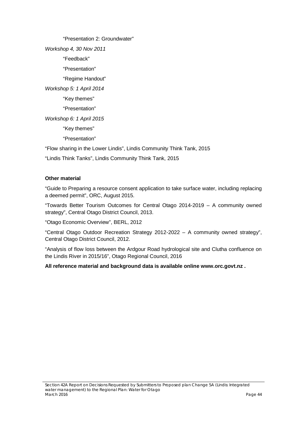"Presentation 2: Groundwater" *Workshop 4, 30 Nov 2011* "Feedback" "Presentation" "Regime Handout" *Workshop 5: 1 April 2014* "Key themes" "Presentation" *Workshop 6: 1 April 2015* "Key themes" "Presentation"

"Flow sharing in the Lower Lindis", Lindis Community Think Tank, 2015

"Lindis Think Tanks", Lindis Community Think Tank, 2015

#### **Other material**

"Guide to Preparing a resource consent application to take surface water, including replacing a deemed permit", ORC, August 2015.

"Towards Better Tourism Outcomes for Central Otago 2014-2019 – A community owned strategy", Central Otago District Council, 2013.

"Otago Economic Overview", BERL, 2012

"Central Otago Outdoor Recreation Strategy 2012-2022 – A community owned strategy", Central Otago District Council, 2012.

"Analysis of flow loss between the Ardgour Road hydrological site and Clutha confluence on the Lindis River in 2015/16", Otago Regional Council, 2016

### **All reference material and background data is available online [www.orc.govt.nz](http://www.orc.govt.nz/) .**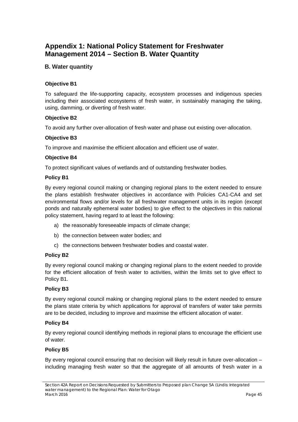# <span id="page-49-0"></span>**Appendix 1: National Policy Statement for Freshwater Management 2014 – Section B. Water Quantity**

### **B. Water quantity**

### **Objective B1**

To safeguard the life-supporting capacity, ecosystem processes and indigenous species including their associated ecosystems of fresh water, in sustainably managing the taking, using, damming, or diverting of fresh water.

#### **Objective B2**

To avoid any further over-allocation of fresh water and phase out existing over-allocation.

#### **Objective B3**

To improve and maximise the efficient allocation and efficient use of water.

#### **Objective B4**

To protect significant values of wetlands and of outstanding freshwater bodies.

#### **Policy B1**

By every regional council making or changing regional plans to the extent needed to ensure the plans establish freshwater objectives in accordance with Policies CA1-CA4 and set environmental flows and/or levels for all freshwater management units in its region (except ponds and naturally ephemeral water bodies) to give effect to the objectives in this national policy statement, having regard to at least the following:

- a) the reasonably foreseeable impacts of climate change;
- b) the connection between water bodies; and
- c) the connections between freshwater bodies and coastal water.

#### **Policy B2**

By every regional council making or changing regional plans to the extent needed to provide for the efficient allocation of fresh water to activities, within the limits set to give effect to Policy B1.

### **Policy B3**

By every regional council making or changing regional plans to the extent needed to ensure the plans state criteria by which applications for approval of transfers of water take permits are to be decided, including to improve and maximise the efficient allocation of water.

#### **Policy B4**

By every regional council identifying methods in regional plans to encourage the efficient use of water.

### **Policy B5**

By every regional council ensuring that no decision will likely result in future over-allocation – including managing fresh water so that the aggregate of all amounts of fresh water in a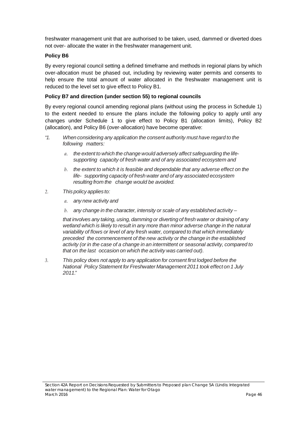freshwater management unit that are authorised to be taken, used, dammed or diverted does not over- allocate the water in the freshwater management unit.

#### **Policy B6**

By every regional council setting a defined timeframe and methods in regional plans by which over-allocation must be phased out, including by reviewing water permits and consents to help ensure the total amount of water allocated in the freshwater management unit is reduced to the level set to give effect to Policy B1.

### **Policy B7 and direction (under section 55) to regional councils**

By every regional council amending regional plans (without using the process in Schedule 1) to the extent needed to ensure the plans include the following policy to apply until any changes under Schedule 1 to give effect to Policy B1 (allocation limits), Policy B2 (allocation), and Policy B6 (over-allocation) have become operative:

- *"1. When considering any application the consent authority must have regard to the following matters:*
	- *a. the extent to which the change would adversely affect safeguarding the lifesupporting capacity of fresh water and of any associated ecosystem and*
	- *b. the extent to which it is feasible and dependable that any adverse effect on the life- supporting capacity of fresh water and of any associated ecosystem resulting from the change would be avoided.*
- *2. This policy applies to:*
	- *a. any new activity and*
	- *b. any change in the character, intensity or scale of any established activity –*

*that involves any taking, using, damming or diverting of fresh water or draining of any wetland which is likely to result in any more than minor adverse change in the natural variability of flows or level of any fresh water, compared to that which immediately preceded the commencement of the new activity or the change in the established activity (or in the case of a change in an intermittent or seasonal activity, compared to that on the last occasion on which the activity was carried out).*

*3. This policy does not apply to any application for consent first lodged before the National PolicyStatement for Freshwater Management 2011 took effect on 1 July 2011."*